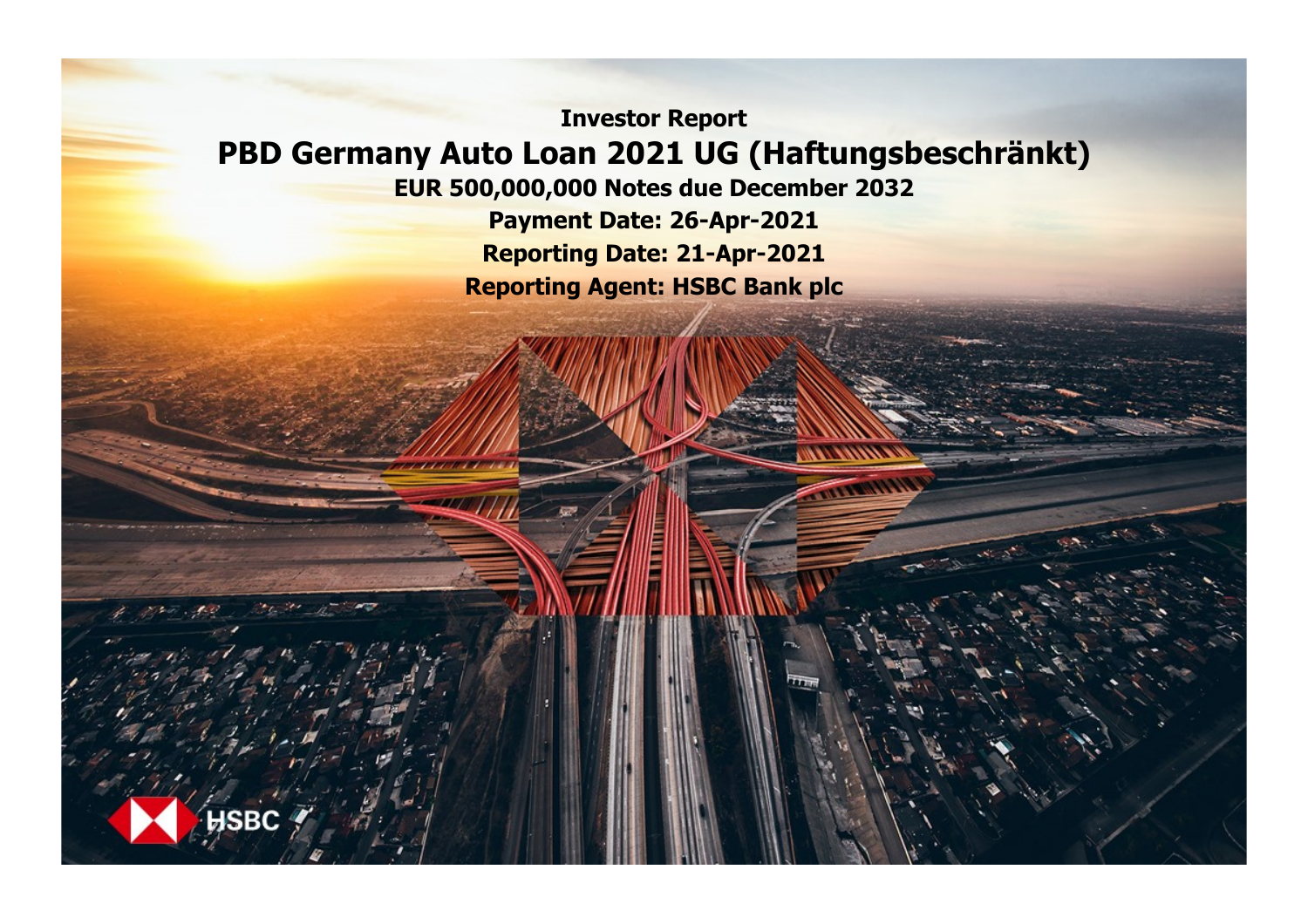**Investor Report PBD Germany Auto Loan 2021 UG (Haftungsbeschränkt)**

**EUR 500,000,000 Notes due December 2032**

**Payment Date: 26-Apr-2021 Reporting Date: 21-Apr-2021 Reporting Agent: HSBC Bank plc**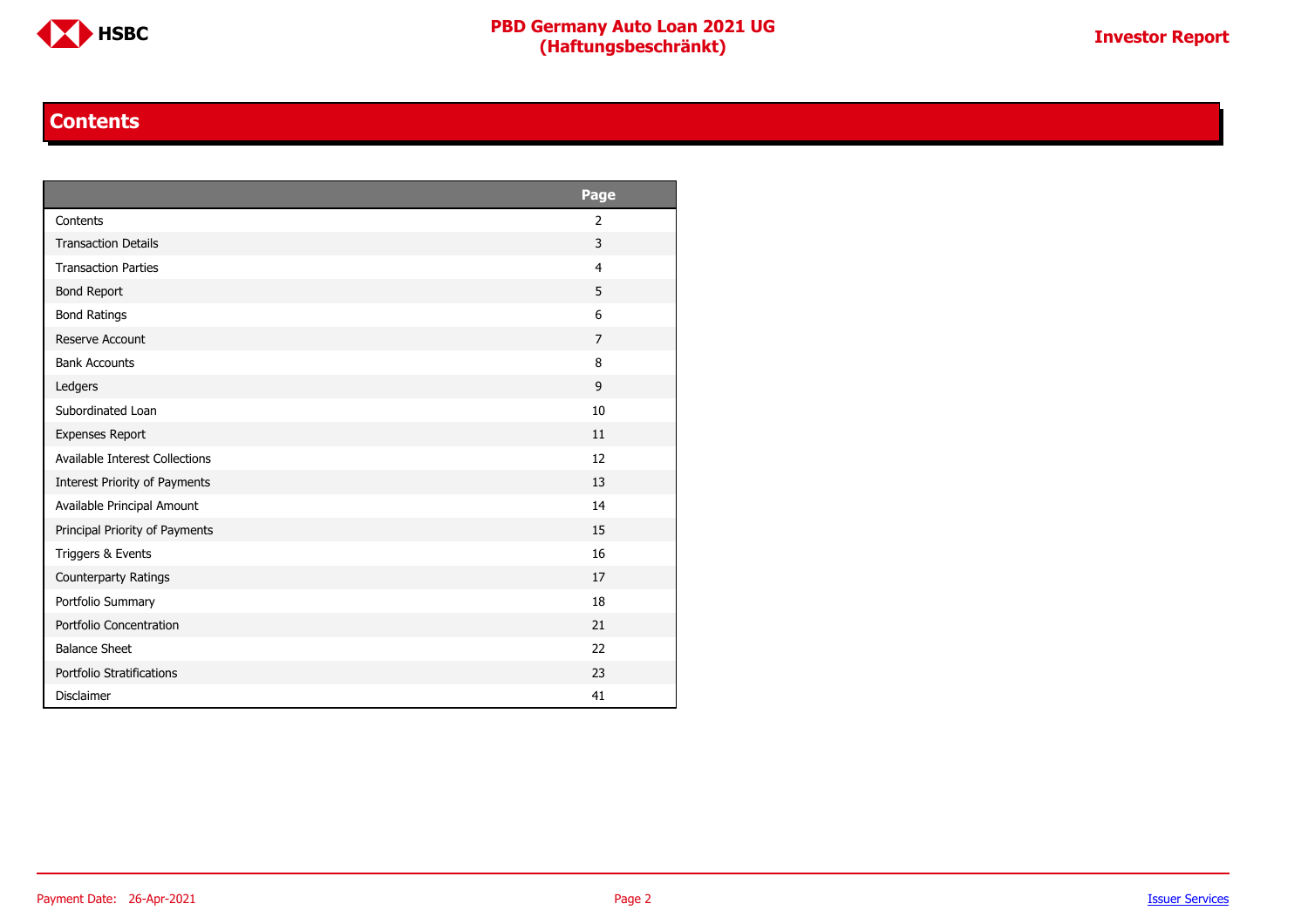

#### **Contents**

<span id="page-1-0"></span>

|                                | Page           |
|--------------------------------|----------------|
| Contents                       | 2              |
| <b>Transaction Details</b>     | 3              |
| <b>Transaction Parties</b>     | $\overline{4}$ |
| <b>Bond Report</b>             | 5              |
| <b>Bond Ratings</b>            | 6              |
| Reserve Account                | $\overline{7}$ |
| <b>Bank Accounts</b>           | 8              |
| Ledgers                        | 9              |
| Subordinated Loan              | 10             |
| <b>Expenses Report</b>         | 11             |
| Available Interest Collections | 12             |
| Interest Priority of Payments  | 13             |
| Available Principal Amount     | 14             |
| Principal Priority of Payments | 15             |
| Triggers & Events              | 16             |
| Counterparty Ratings           | 17             |
| Portfolio Summary              | 18             |
| Portfolio Concentration        | 21             |
| <b>Balance Sheet</b>           | 22             |
| Portfolio Stratifications      | 23             |
| <b>Disclaimer</b>              | 41             |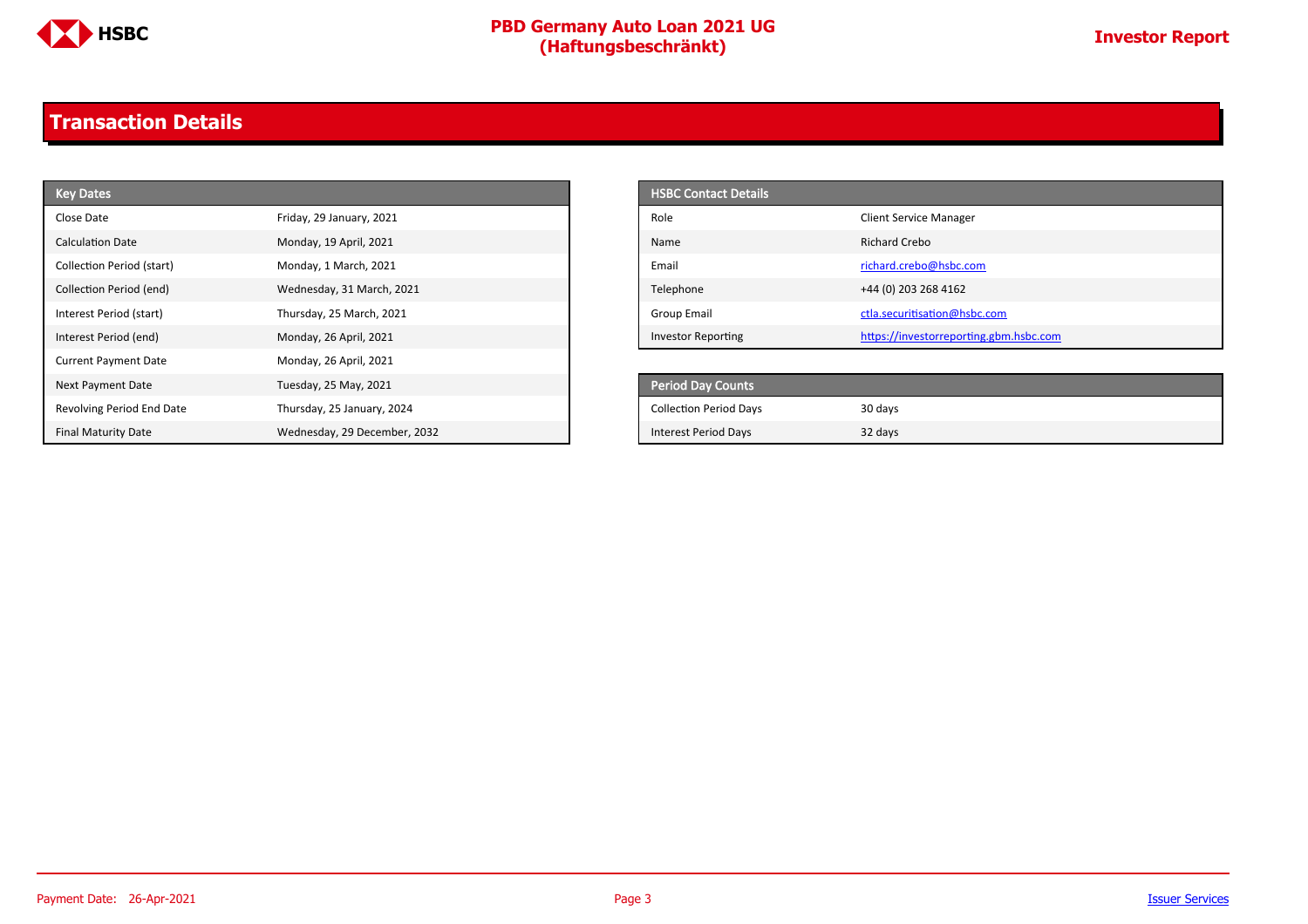

### <span id="page-2-0"></span>**Transaction Details**

| <b>Key Dates</b>            |                              | <b>HSBC Contact Details</b>   |                                        |
|-----------------------------|------------------------------|-------------------------------|----------------------------------------|
| Close Date                  | Friday, 29 January, 2021     | Role                          | <b>Client Service Manager</b>          |
| Calculation Date            | Monday, 19 April, 2021       | Name                          | Richard Crebo                          |
| Collection Period (start)   | Monday, 1 March, 2021        | Email                         | richard.crebo@hsbc.com                 |
| Collection Period (end)     | Wednesday, 31 March, 2021    | Telephone                     | +44 (0) 203 268 4162                   |
| Interest Period (start)     | Thursday, 25 March, 2021     | <b>Group Email</b>            | ctla.securitisation@hsbc.com           |
| Interest Period (end)       | Monday, 26 April, 2021       | Investor Reporting            | https://investorreporting.gbm.hsbc.com |
| <b>Current Payment Date</b> | Monday, 26 April, 2021       |                               |                                        |
| Next Payment Date           | Tuesday, 25 May, 2021        | Period Day Counts             |                                        |
| Revolving Period End Date   | Thursday, 25 January, 2024   | <b>Collection Period Days</b> | 30 days                                |
| <b>Final Maturity Date</b>  | Wednesday, 29 December, 2032 | <b>Interest Period Days</b>   | 32 days                                |

| <b>HSBC Contact Details</b> |                                        |
|-----------------------------|----------------------------------------|
| Role                        | <b>Client Service Manager</b>          |
| Name                        | Richard Crebo                          |
| Email                       | richard.crebo@hsbc.com                 |
| Telephone                   | +44 (0) 203 268 4162                   |
| Group Email                 | ctla.securitisation@hsbc.com           |
| <b>Investor Reporting</b>   | https://investorreporting.gbm.hsbc.com |

| <b>Period Day Counts</b>      |         |
|-------------------------------|---------|
| <b>Collection Period Days</b> | 30 days |
| Interest Period Days          | 32 days |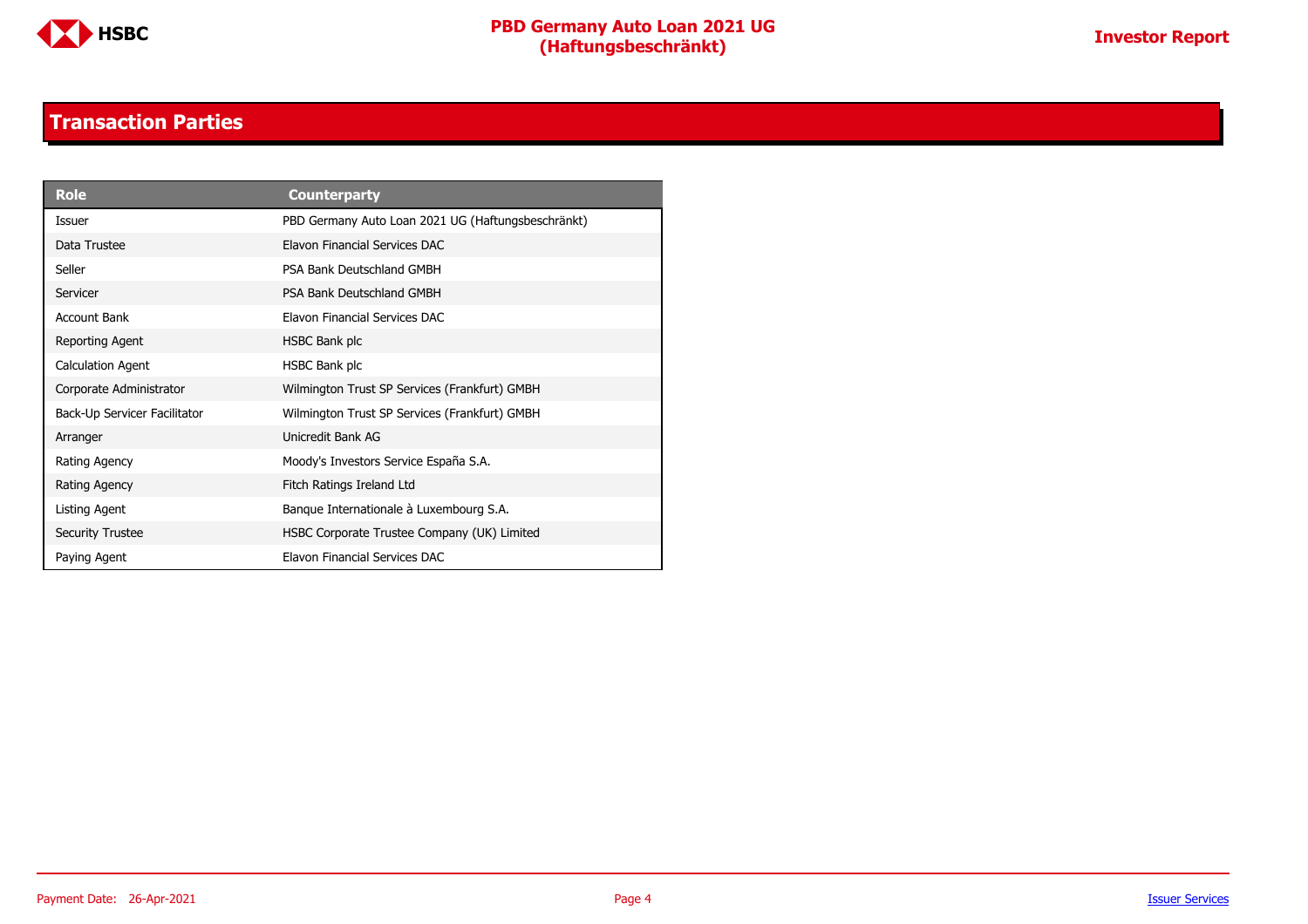

#### **Transaction Parties**

<span id="page-3-0"></span>

| Role                         | <b>Counterparty</b>                                |
|------------------------------|----------------------------------------------------|
| <b>Issuer</b>                | PBD Germany Auto Loan 2021 UG (Haftungsbeschränkt) |
| Data Trustee                 | Elavon Financial Services DAC                      |
| Seller                       | PSA Bank Deutschland GMBH                          |
| Servicer                     | PSA Bank Deutschland GMBH                          |
| Account Bank                 | <b>Flavon Financial Services DAC</b>               |
| Reporting Agent              | HSBC Bank plc                                      |
| <b>Calculation Agent</b>     | HSBC Bank plc                                      |
| Corporate Administrator      | Wilmington Trust SP Services (Frankfurt) GMBH      |
| Back-Up Servicer Facilitator | Wilmington Trust SP Services (Frankfurt) GMBH      |
| Arranger                     | Unicredit Bank AG                                  |
| Rating Agency                | Moody's Investors Service España S.A.              |
| Rating Agency                | Fitch Ratings Ireland Ltd                          |
| Listing Agent                | Banque Internationale à Luxembourg S.A.            |
| <b>Security Trustee</b>      | HSBC Corporate Trustee Company (UK) Limited        |
| Paying Agent                 | Elavon Financial Services DAC                      |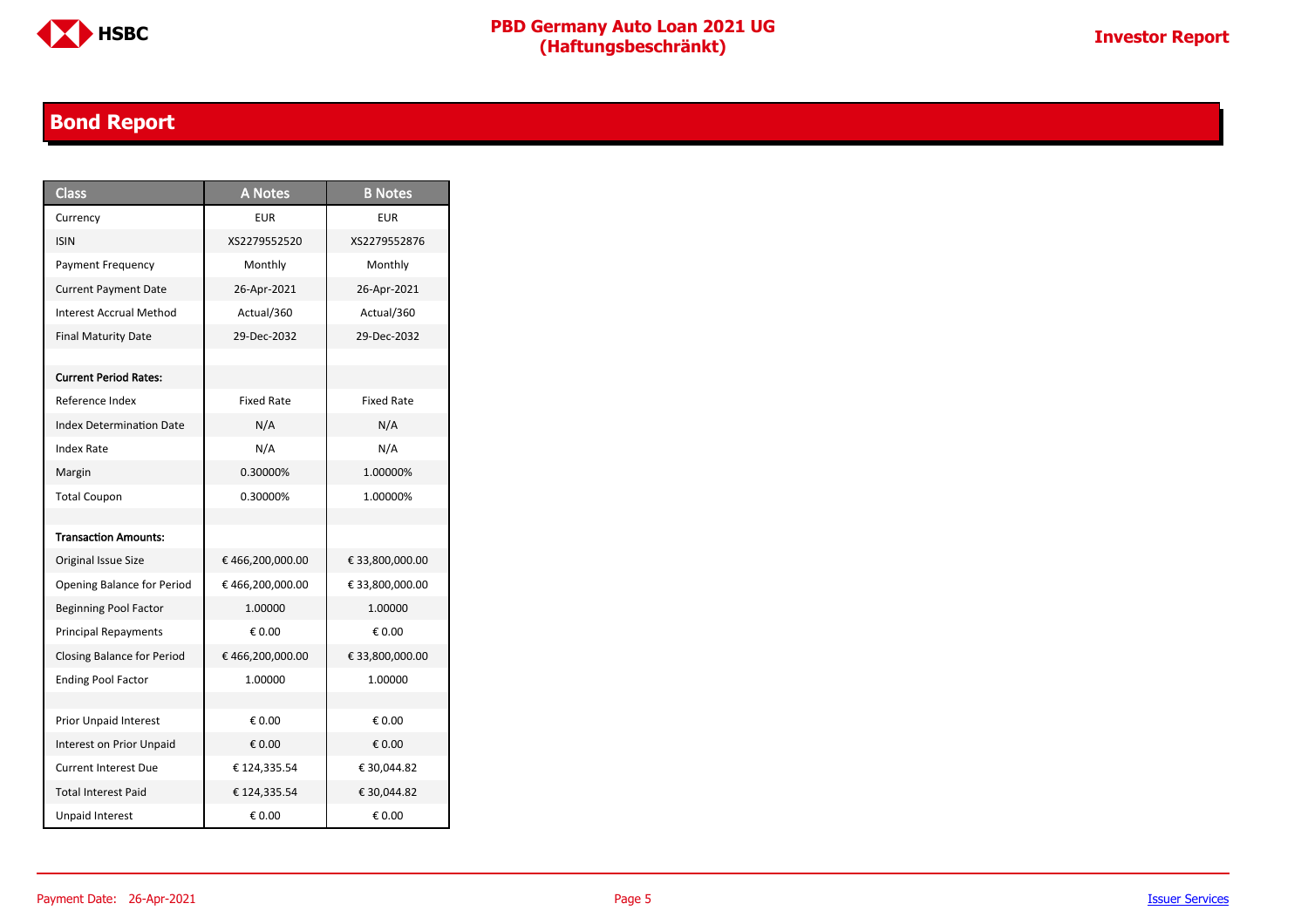

### <span id="page-4-0"></span>**Bond Report**

| <b>Class</b>                      | <b>A Notes</b>    | <b>B</b> Notes    |
|-----------------------------------|-------------------|-------------------|
| Currency                          | <b>EUR</b>        | EUR               |
| <b>ISIN</b>                       | XS2279552520      | XS2279552876      |
| Payment Frequency                 | Monthly           | Monthly           |
| <b>Current Payment Date</b>       | 26-Apr-2021       | 26-Apr-2021       |
| Interest Accrual Method           | Actual/360        | Actual/360        |
| <b>Final Maturity Date</b>        | 29-Dec-2032       | 29-Dec-2032       |
|                                   |                   |                   |
| <b>Current Period Rates:</b>      |                   |                   |
| Reference Index                   | <b>Fixed Rate</b> | <b>Fixed Rate</b> |
| <b>Index Determination Date</b>   | N/A               | N/A               |
| <b>Index Rate</b>                 | N/A               | N/A               |
| Margin                            | 0.30000%          | 1.00000%          |
| <b>Total Coupon</b>               | 0.30000%          | 1.00000%          |
|                                   |                   |                   |
| <b>Transaction Amounts:</b>       |                   |                   |
| Original Issue Size               | €466,200,000.00   | € 33,800,000.00   |
| <b>Opening Balance for Period</b> | € 466,200,000.00  | € 33,800,000.00   |
| <b>Beginning Pool Factor</b>      | 1.00000           | 1.00000           |
| <b>Principal Repayments</b>       | € 0.00            | € 0.00            |
| Closing Balance for Period        | €466,200,000.00   | € 33,800,000.00   |
| <b>Ending Pool Factor</b>         | 1.00000           | 1.00000           |
|                                   |                   |                   |
| Prior Unpaid Interest             | € 0.00            | € 0.00            |
| Interest on Prior Unpaid          | € 0.00            | € 0.00            |
| <b>Current Interest Due</b>       | € 124,335.54      | € 30,044.82       |
| <b>Total Interest Paid</b>        | € 124,335.54      | € 30,044.82       |
| <b>Unpaid Interest</b>            | € 0.00            | € 0.00            |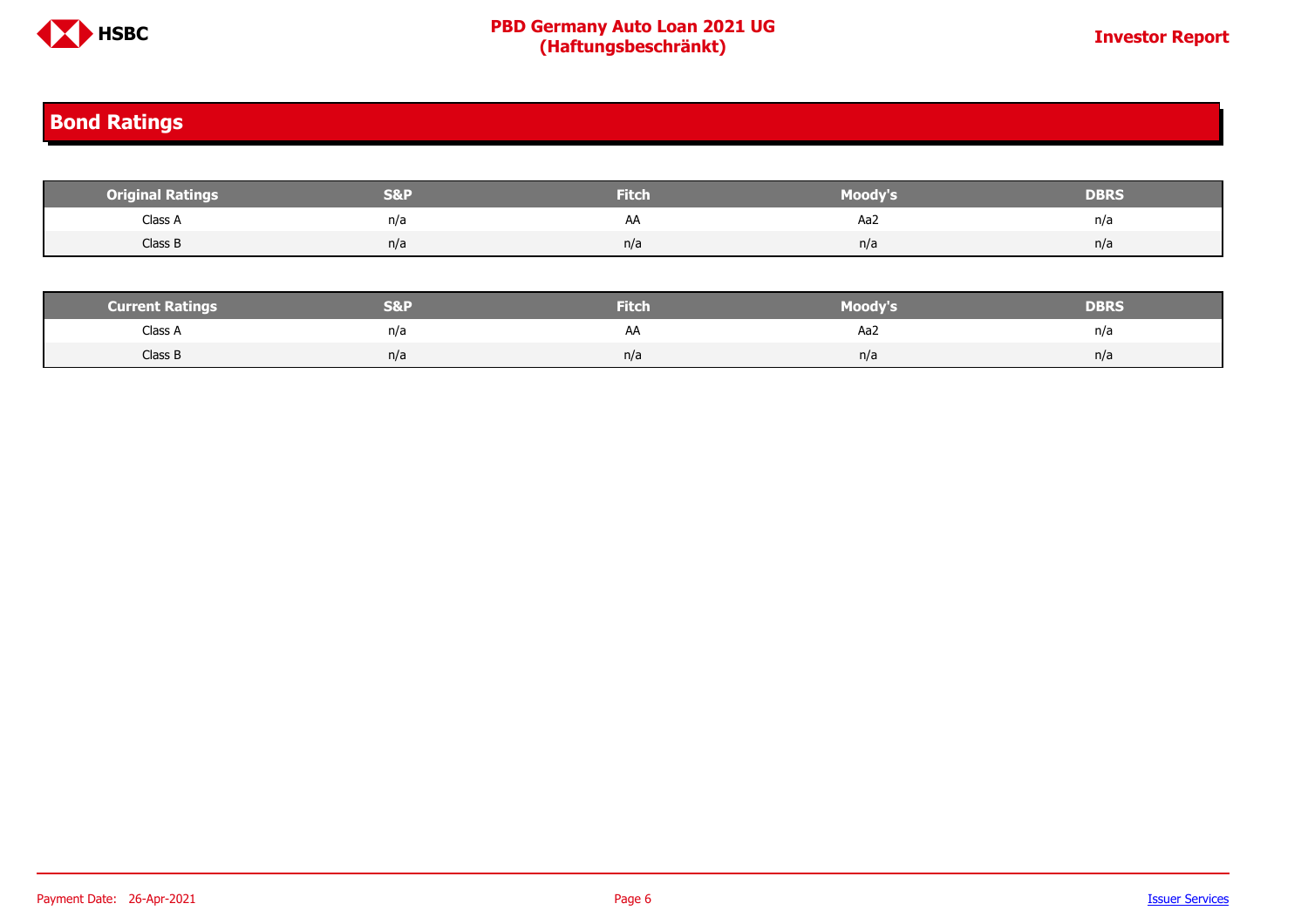

#### <span id="page-5-0"></span>**Bond Ratings**

| <b>Original Ratings</b> | S&F | <b>Fitch</b> | Moody's | <b>DBRS</b> |
|-------------------------|-----|--------------|---------|-------------|
| Class A                 | n/a | AA           | Aa2     | n/a         |
| Class B                 | n/a | n/a          | n/a     | n/a         |
|                         |     |              |         |             |

| <b>Current Ratings</b> | <b>S&amp;P</b> | <b>Fitch</b> | Moody's | <b>DBRS</b> |
|------------------------|----------------|--------------|---------|-------------|
| Class A                | n/a            |              | Aa2     | n/a         |
| Class B                | n/a            | n/a          | n/a     | n/a         |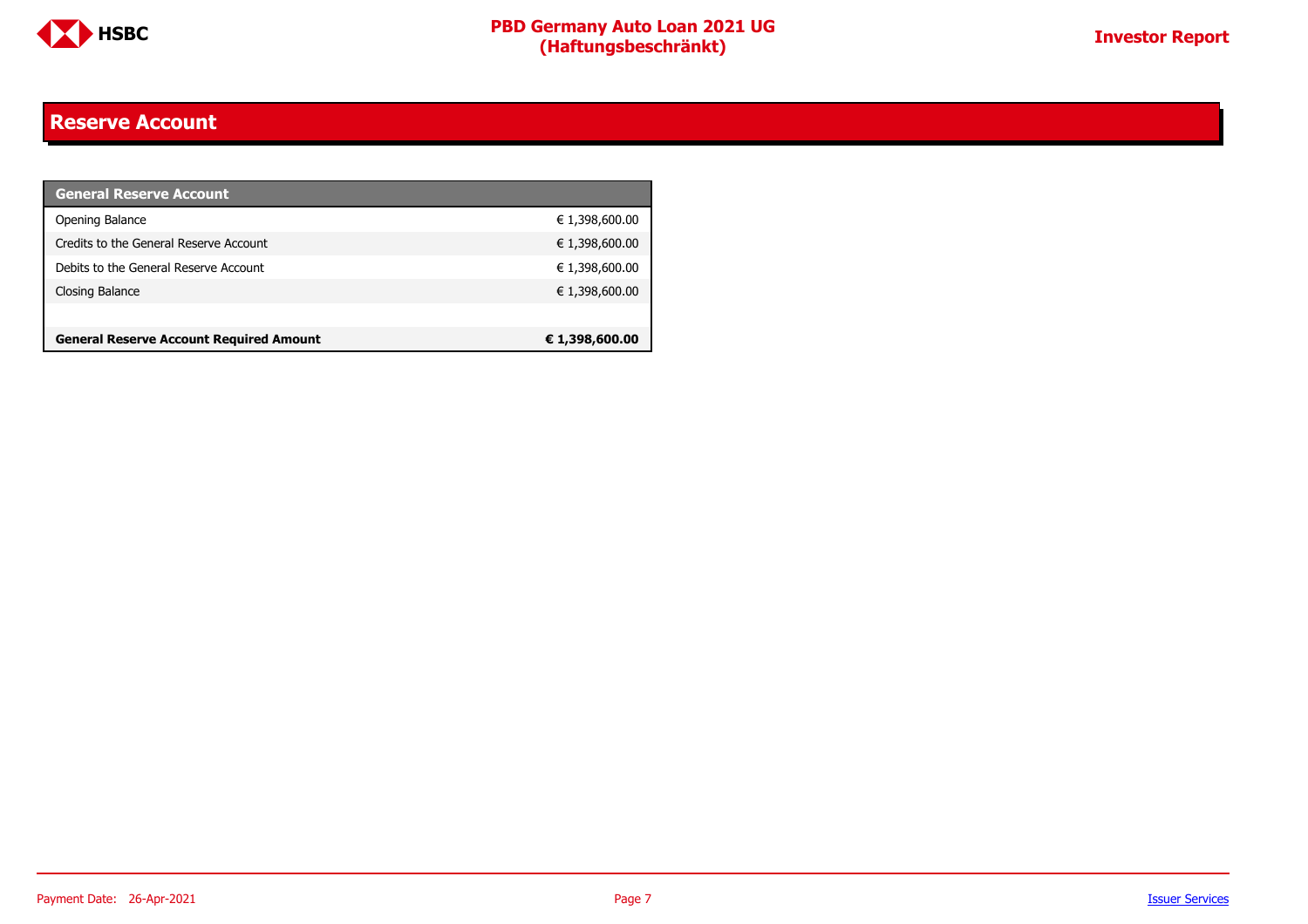

#### <span id="page-6-0"></span>**Reserve Account**

| <b>General Reserve Account</b>                 |                |
|------------------------------------------------|----------------|
| Opening Balance                                | € 1,398,600.00 |
| Credits to the General Reserve Account         | € 1,398,600.00 |
| Debits to the General Reserve Account          | € 1,398,600.00 |
| Closing Balance                                | € 1,398,600.00 |
|                                                |                |
| <b>General Reserve Account Required Amount</b> | € 1,398,600.00 |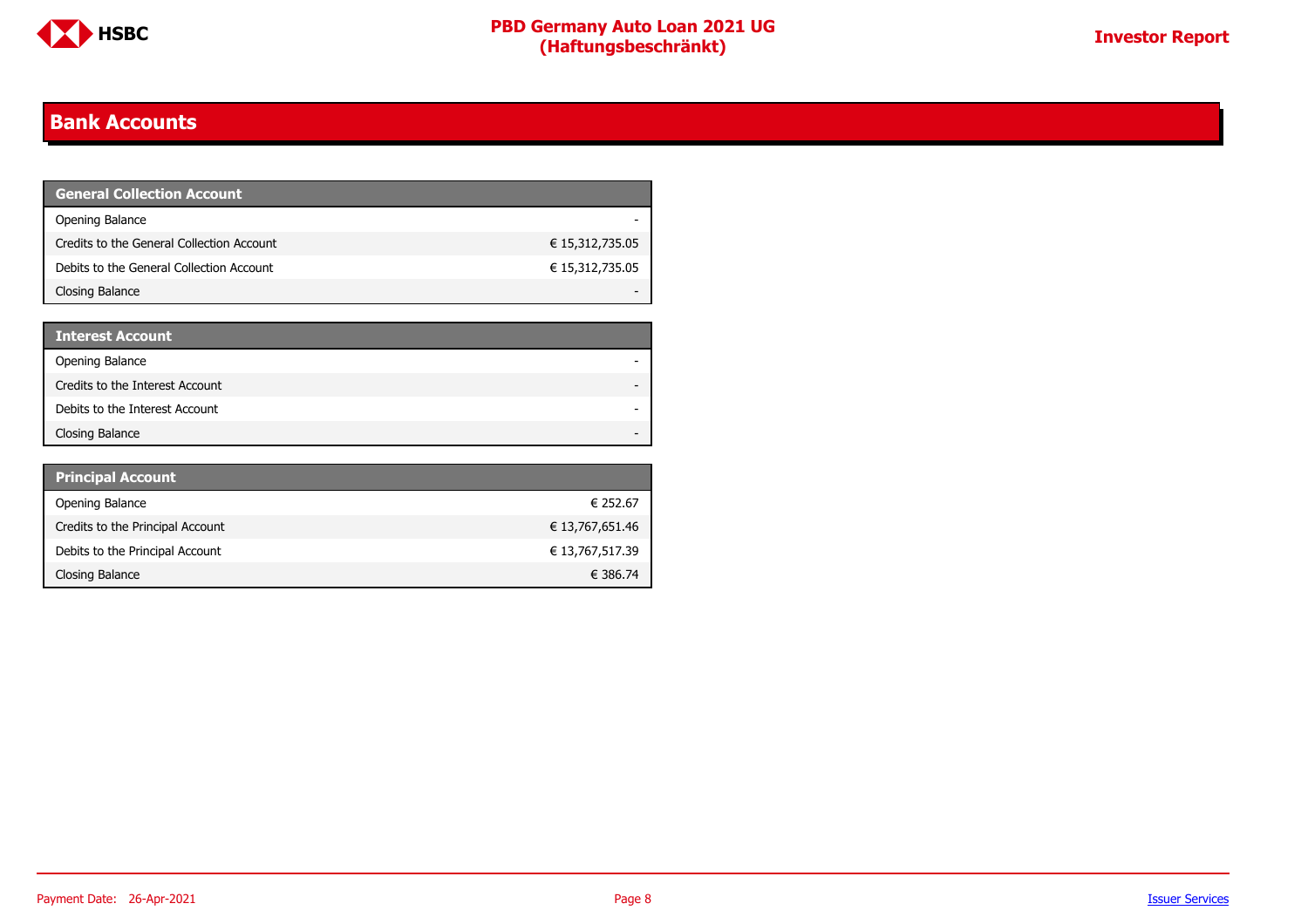

#### <span id="page-7-0"></span>**Bank Accounts**

| <b>General Collection Account</b>         |                 |
|-------------------------------------------|-----------------|
| Opening Balance                           |                 |
| Credits to the General Collection Account | € 15,312,735.05 |
| Debits to the General Collection Account  | € 15,312,735.05 |
| Closing Balance                           |                 |

| <b>Interest Account</b>         |  |
|---------------------------------|--|
| Opening Balance                 |  |
| Credits to the Interest Account |  |
| Debits to the Interest Account  |  |
| Closing Balance                 |  |

| <b>Principal Account</b>         |                 |
|----------------------------------|-----------------|
| Opening Balance                  | € 252.67        |
| Credits to the Principal Account | € 13,767,651.46 |
| Debits to the Principal Account  | € 13,767,517.39 |
| Closing Balance                  | € 386.74        |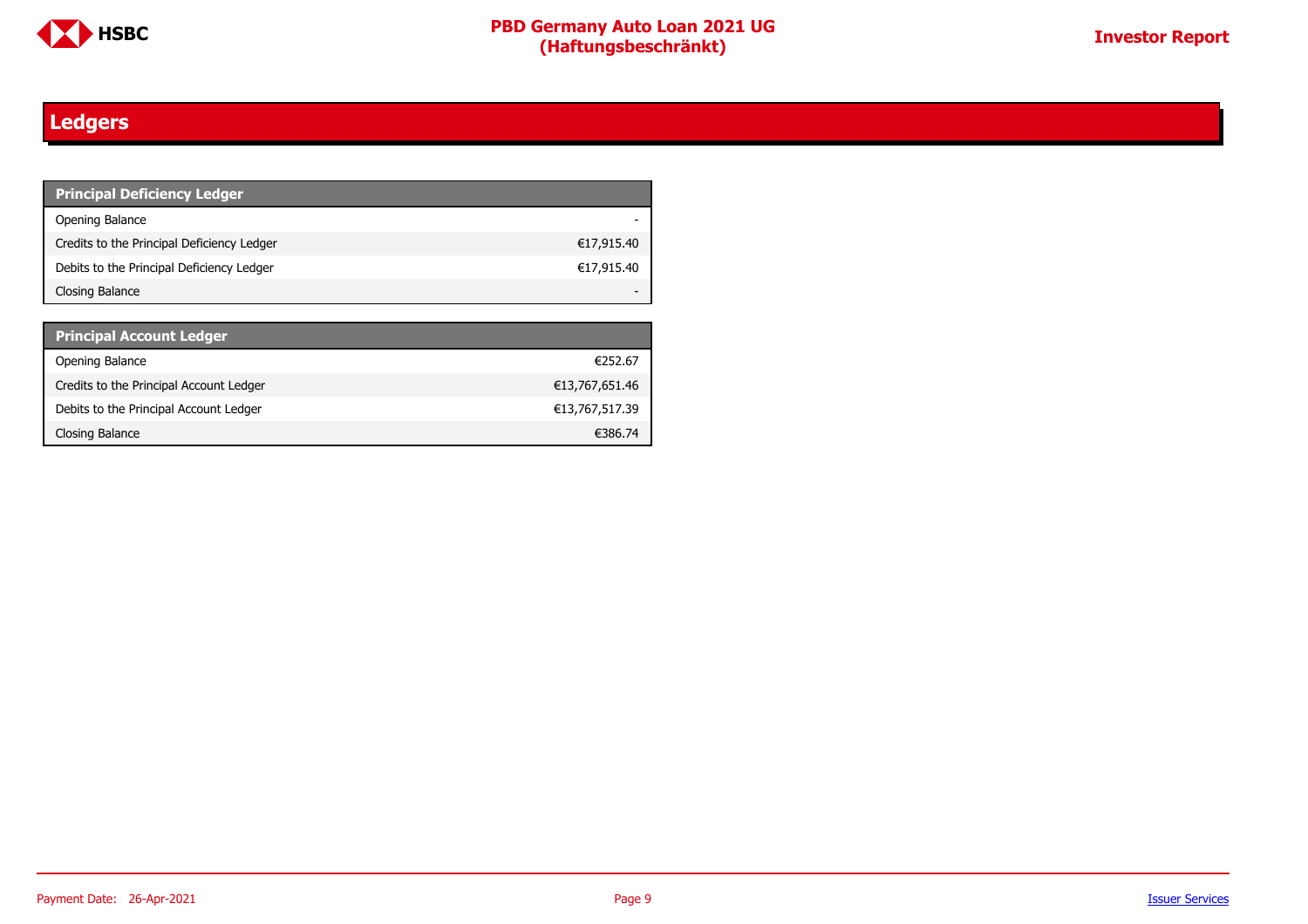

### <span id="page-8-0"></span>**Ledgers**

| <b>Principal Deficiency Ledger</b>         |            |
|--------------------------------------------|------------|
| Opening Balance                            |            |
| Credits to the Principal Deficiency Ledger | €17,915.40 |
| Debits to the Principal Deficiency Ledger  | €17,915.40 |
| Closing Balance                            |            |

| <b>Principal Account Ledger</b>         |                |
|-----------------------------------------|----------------|
| Opening Balance                         | €252.67        |
| Credits to the Principal Account Ledger | €13,767,651.46 |
| Debits to the Principal Account Ledger  | €13,767,517.39 |
| Closing Balance                         | €386.74        |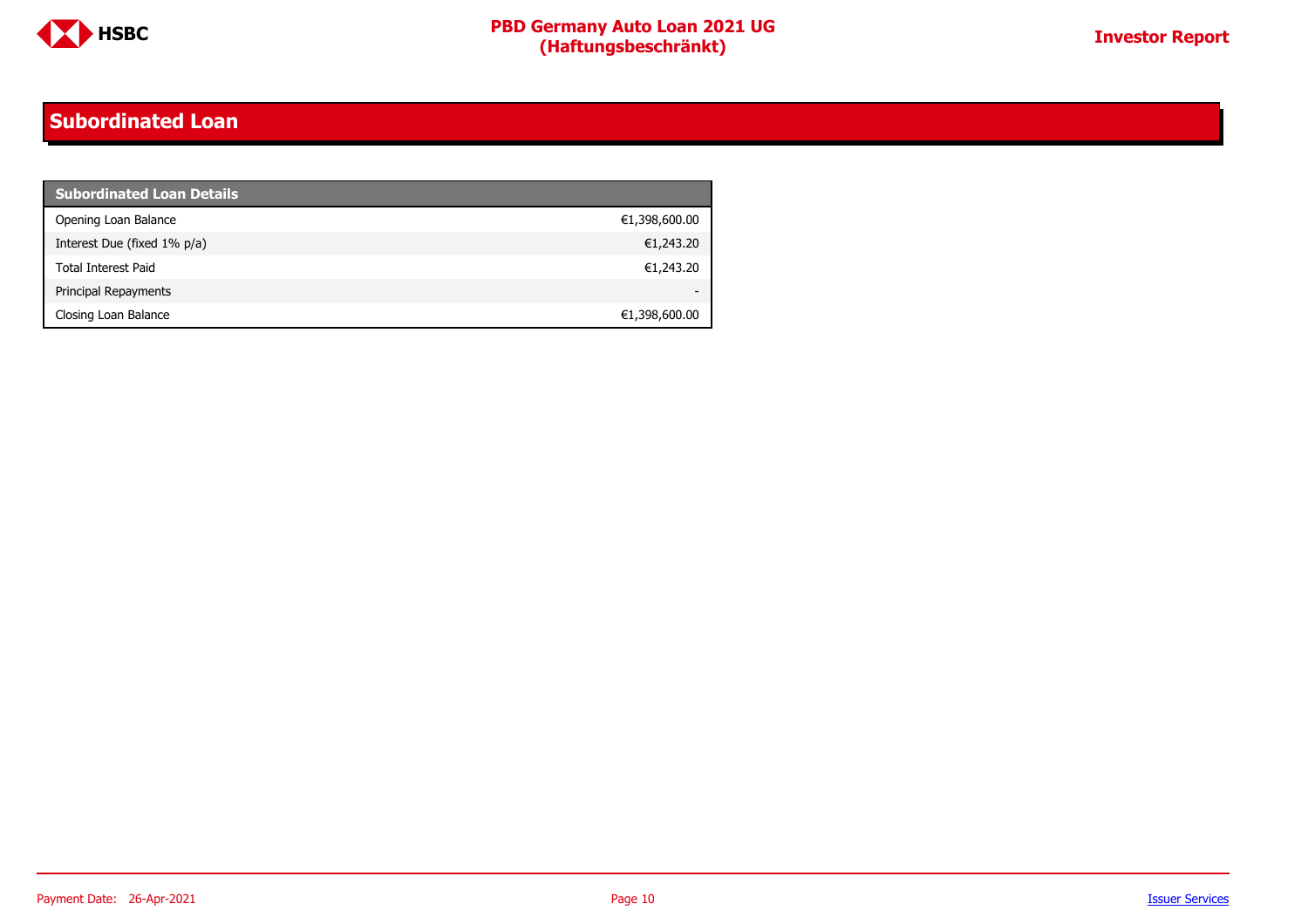

#### <span id="page-9-0"></span>**Subordinated Loan**

| <b>Subordinated Loan Details</b> |               |
|----------------------------------|---------------|
| Opening Loan Balance             | €1,398,600.00 |
| Interest Due (fixed 1% p/a)      | €1,243.20     |
| <b>Total Interest Paid</b>       | €1,243.20     |
| Principal Repayments             |               |
| Closing Loan Balance             | €1,398,600.00 |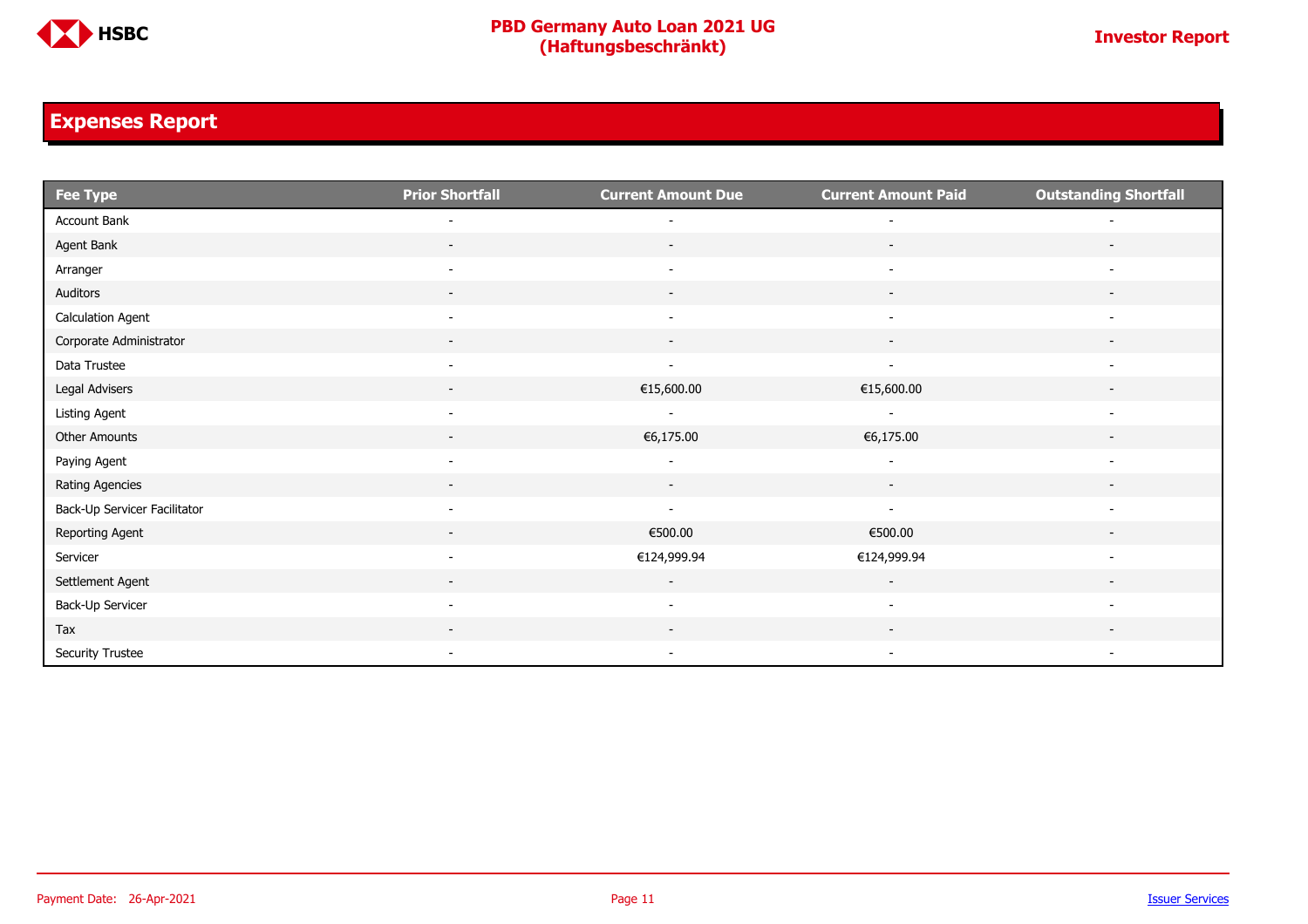

### <span id="page-10-0"></span>**Expenses Report**

| <b>Fee Type</b>              | <b>Prior Shortfall</b>   | <b>Current Amount Due</b> | <b>Current Amount Paid</b> | <b>Outstanding Shortfall</b> |
|------------------------------|--------------------------|---------------------------|----------------------------|------------------------------|
| Account Bank                 |                          |                           |                            |                              |
| Agent Bank                   |                          |                           | $\overline{\phantom{a}}$   |                              |
| Arranger                     | $\overline{\phantom{a}}$ | $\overline{\phantom{a}}$  | $\overline{\phantom{a}}$   |                              |
| Auditors                     | $\overline{\phantom{a}}$ | $\overline{\phantom{a}}$  | $\overline{\phantom{a}}$   |                              |
| <b>Calculation Agent</b>     | $\overline{\phantom{a}}$ |                           |                            |                              |
| Corporate Administrator      | $\overline{\phantom{a}}$ |                           |                            |                              |
| Data Trustee                 | $\overline{\phantom{a}}$ | $\overline{\phantom{a}}$  | $\overline{\phantom{a}}$   | $\overline{\phantom{a}}$     |
| Legal Advisers               | $\sim$                   | €15,600.00                | €15,600.00                 | $\overline{\phantom{a}}$     |
| Listing Agent                | $\overline{\phantom{a}}$ | $\sim$                    | $\overline{\phantom{a}}$   | $\overline{\phantom{a}}$     |
| Other Amounts                | $\sim$                   | €6,175.00                 | €6,175.00                  | $\overline{\phantom{a}}$     |
| Paying Agent                 |                          |                           |                            | $\overline{\phantom{a}}$     |
| Rating Agencies              |                          |                           |                            |                              |
| Back-Up Servicer Facilitator | $\overline{\phantom{a}}$ | $\overline{\phantom{a}}$  | $\overline{\phantom{a}}$   | $\overline{\phantom{a}}$     |
| Reporting Agent              | $\sim$                   | €500.00                   | €500.00                    | $\overline{\phantom{a}}$     |
| Servicer                     | $\overline{\phantom{a}}$ | €124,999.94               | €124,999.94                | $\overline{\phantom{a}}$     |
| Settlement Agent             | $\overline{\phantom{0}}$ | $\sim$                    | $\sim$                     |                              |
| Back-Up Servicer             | $\overline{\phantom{a}}$ | $\overline{\phantom{a}}$  | $\overline{\phantom{a}}$   |                              |
| Tax                          |                          |                           |                            |                              |
| Security Trustee             | $\overline{\phantom{a}}$ | $\sim$                    | $\overline{\phantom{a}}$   | $\overline{\phantom{a}}$     |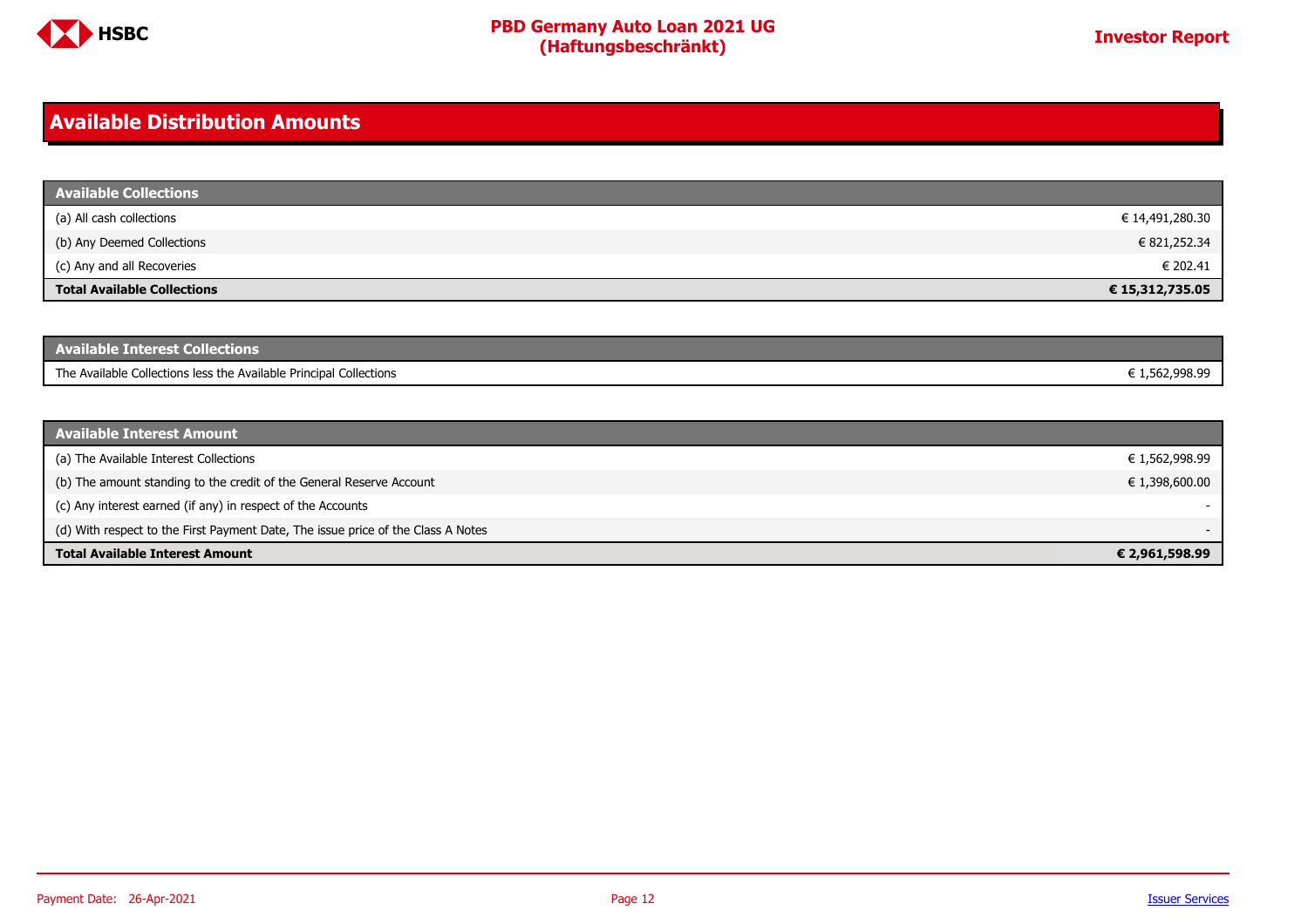

#### <span id="page-11-0"></span>**Available Distribution Amounts**

| <b>Available Collections</b>       |                 |
|------------------------------------|-----------------|
| (a) All cash collections           | € 14,491,280.30 |
| (b) Any Deemed Collections         | € 821,252.34    |
| (c) Any and all Recoveries         | € 202.41        |
| <b>Total Available Collections</b> | € 15,312,735.05 |

| <b>Available Interest Collections</b>                              |             |
|--------------------------------------------------------------------|-------------|
| The Available Collections less the Available Principal Collections | .562.998.99 |

| <b>Available Interest Amount</b>                                                 |                |
|----------------------------------------------------------------------------------|----------------|
| (a) The Available Interest Collections                                           | € 1,562,998.99 |
| (b) The amount standing to the credit of the General Reserve Account             | € 1,398,600.00 |
| (c) Any interest earned (if any) in respect of the Accounts                      | $\sim$         |
| (d) With respect to the First Payment Date, The issue price of the Class A Notes | -              |
| <b>Total Available Interest Amount</b>                                           | € 2,961,598.99 |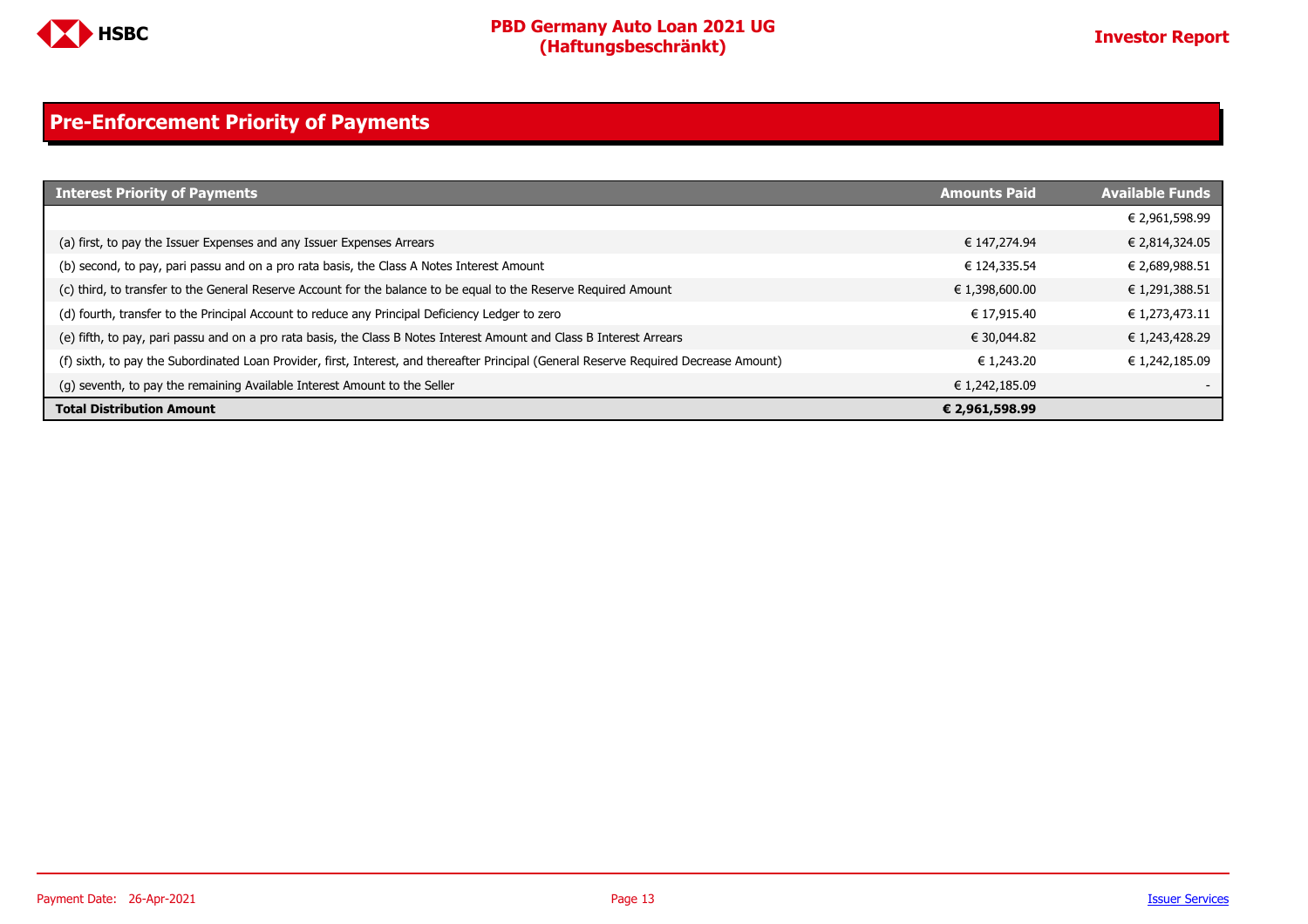

### <span id="page-12-0"></span>**Pre-Enforcement Priority of Payments**

| <b>Interest Priority of Payments</b>                                                                                                   | <b>Amounts Paid</b> | <b>Available Funds</b> |
|----------------------------------------------------------------------------------------------------------------------------------------|---------------------|------------------------|
|                                                                                                                                        |                     | € 2,961,598.99         |
| (a) first, to pay the Issuer Expenses and any Issuer Expenses Arrears                                                                  | € 147,274.94        | € 2,814,324.05         |
| (b) second, to pay, pari passu and on a pro rata basis, the Class A Notes Interest Amount                                              | € 124,335.54        | € 2,689,988.51         |
| (c) third, to transfer to the General Reserve Account for the balance to be equal to the Reserve Required Amount                       | € 1,398,600.00      | € 1,291,388.51         |
| (d) fourth, transfer to the Principal Account to reduce any Principal Deficiency Ledger to zero                                        | € 17.915.40         | € 1,273,473.11         |
| (e) fifth, to pay, pari passu and on a pro rata basis, the Class B Notes Interest Amount and Class B Interest Arrears                  | € 30.044.82         | € 1,243,428.29         |
| (f) sixth, to pay the Subordinated Loan Provider, first, Interest, and thereafter Principal (General Reserve Required Decrease Amount) | € 1.243.20          | € 1,242,185.09         |
| (g) seventh, to pay the remaining Available Interest Amount to the Seller                                                              | € 1,242,185.09      |                        |
| <b>Total Distribution Amount</b>                                                                                                       | € 2,961,598.99      |                        |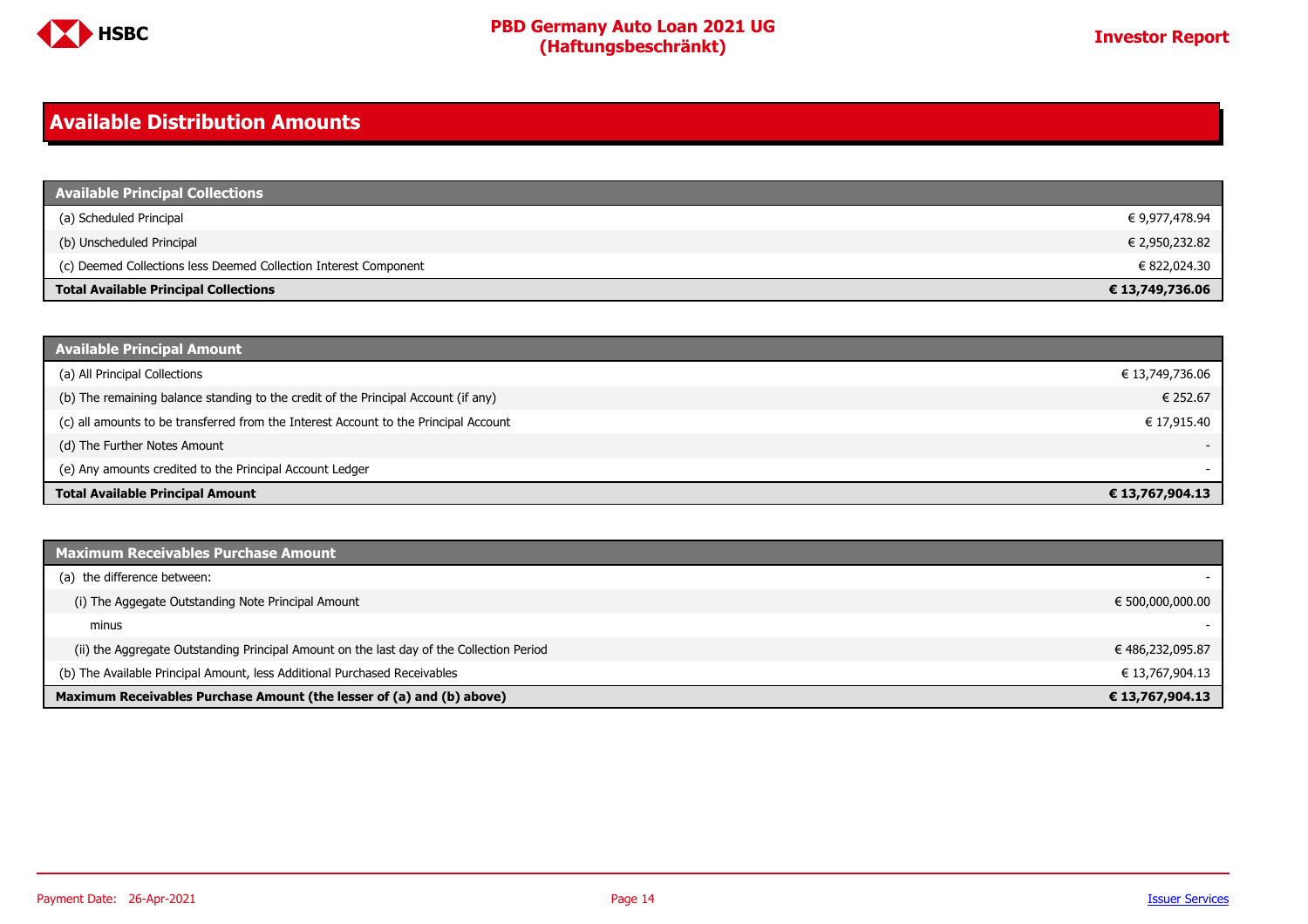

#### <span id="page-13-0"></span>**Available Distribution Amounts**

| <b>Available Principal Collections</b>                           |                 |
|------------------------------------------------------------------|-----------------|
| (a) Scheduled Principal                                          | € 9,977,478.94  |
| (b) Unscheduled Principal                                        | € 2,950,232.82  |
| (c) Deemed Collections less Deemed Collection Interest Component | € 822,024.30    |
| <b>Total Available Principal Collections</b>                     | € 13,749,736.06 |

| <b>Available Principal Amount</b>                                                    |                 |
|--------------------------------------------------------------------------------------|-----------------|
| (a) All Principal Collections                                                        | € 13,749,736.06 |
| (b) The remaining balance standing to the credit of the Principal Account (if any)   | € 252.67        |
| (c) all amounts to be transferred from the Interest Account to the Principal Account | € 17,915.40     |
| (d) The Further Notes Amount                                                         | $\sim$          |
| (e) Any amounts credited to the Principal Account Ledger                             |                 |
| <b>Total Available Principal Amount</b>                                              | € 13,767,904.13 |

| <b>Maximum Receivables Purchase Amount</b>                                               |                  |
|------------------------------------------------------------------------------------------|------------------|
| (a) the difference between:                                                              |                  |
| (i) The Aggegate Outstanding Note Principal Amount                                       | € 500,000,000.00 |
| minus                                                                                    |                  |
| (ii) the Aggregate Outstanding Principal Amount on the last day of the Collection Period | € 486,232,095.87 |
| (b) The Available Principal Amount, less Additional Purchased Receivables                | € 13,767,904.13  |
| Maximum Receivables Purchase Amount (the lesser of (a) and (b) above)                    | € 13,767,904.13  |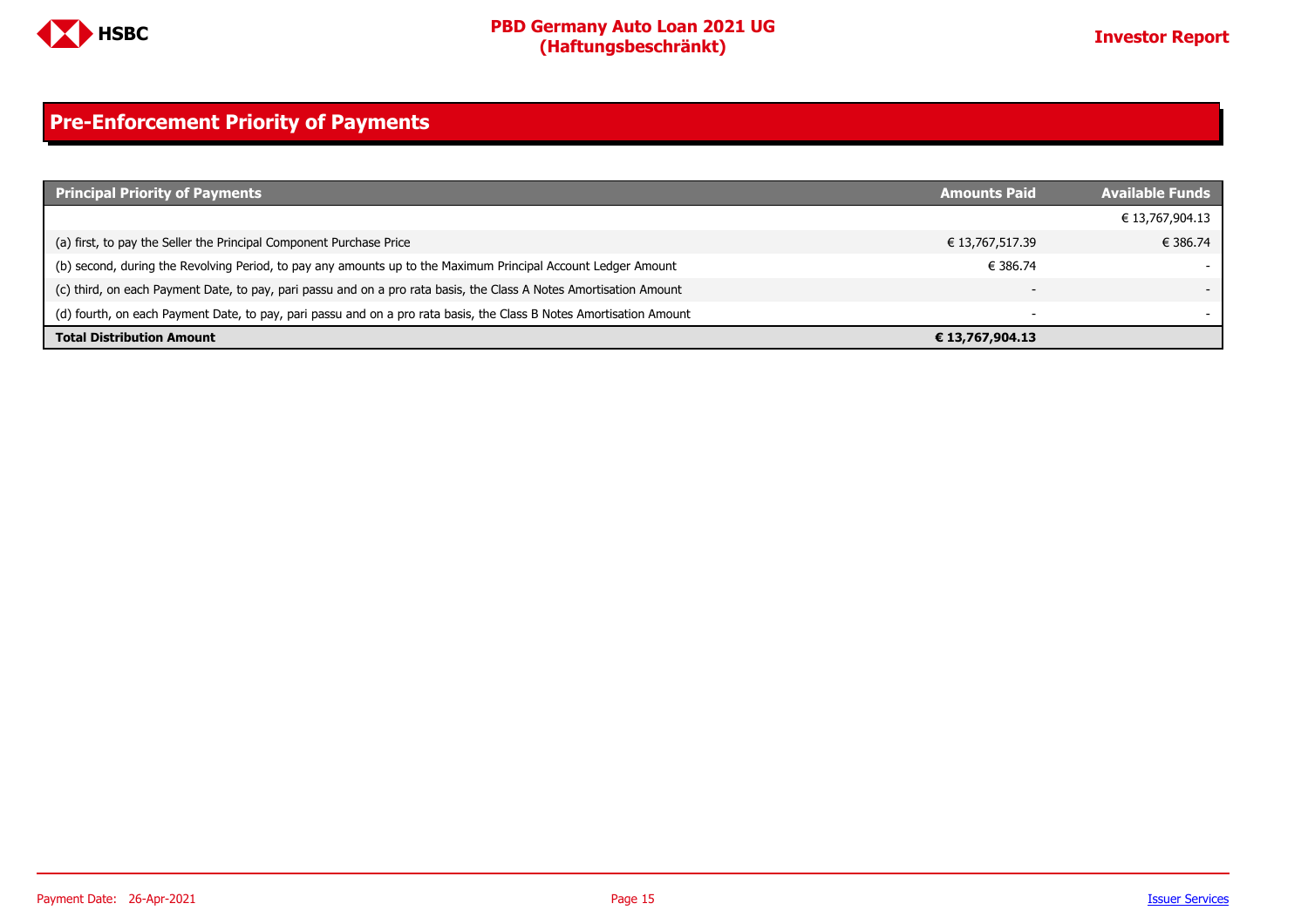

### <span id="page-14-0"></span>**Pre-Enforcement Priority of Payments**

| <b>Principal Priority of Payments</b>                                                                               | <b>Amounts Paid</b>      | <b>Available Funds</b> |
|---------------------------------------------------------------------------------------------------------------------|--------------------------|------------------------|
|                                                                                                                     |                          | € 13,767,904.13        |
| (a) first, to pay the Seller the Principal Component Purchase Price                                                 | € 13,767,517.39          | € 386.74               |
| (b) second, during the Revolving Period, to pay any amounts up to the Maximum Principal Account Ledger Amount       | € 386.74                 |                        |
| (c) third, on each Payment Date, to pay, pari passu and on a pro rata basis, the Class A Notes Amortisation Amount  |                          |                        |
| (d) fourth, on each Payment Date, to pay, pari passu and on a pro rata basis, the Class B Notes Amortisation Amount | $\overline{\phantom{a}}$ |                        |
| <b>Total Distribution Amount</b>                                                                                    | € 13,767,904.13          |                        |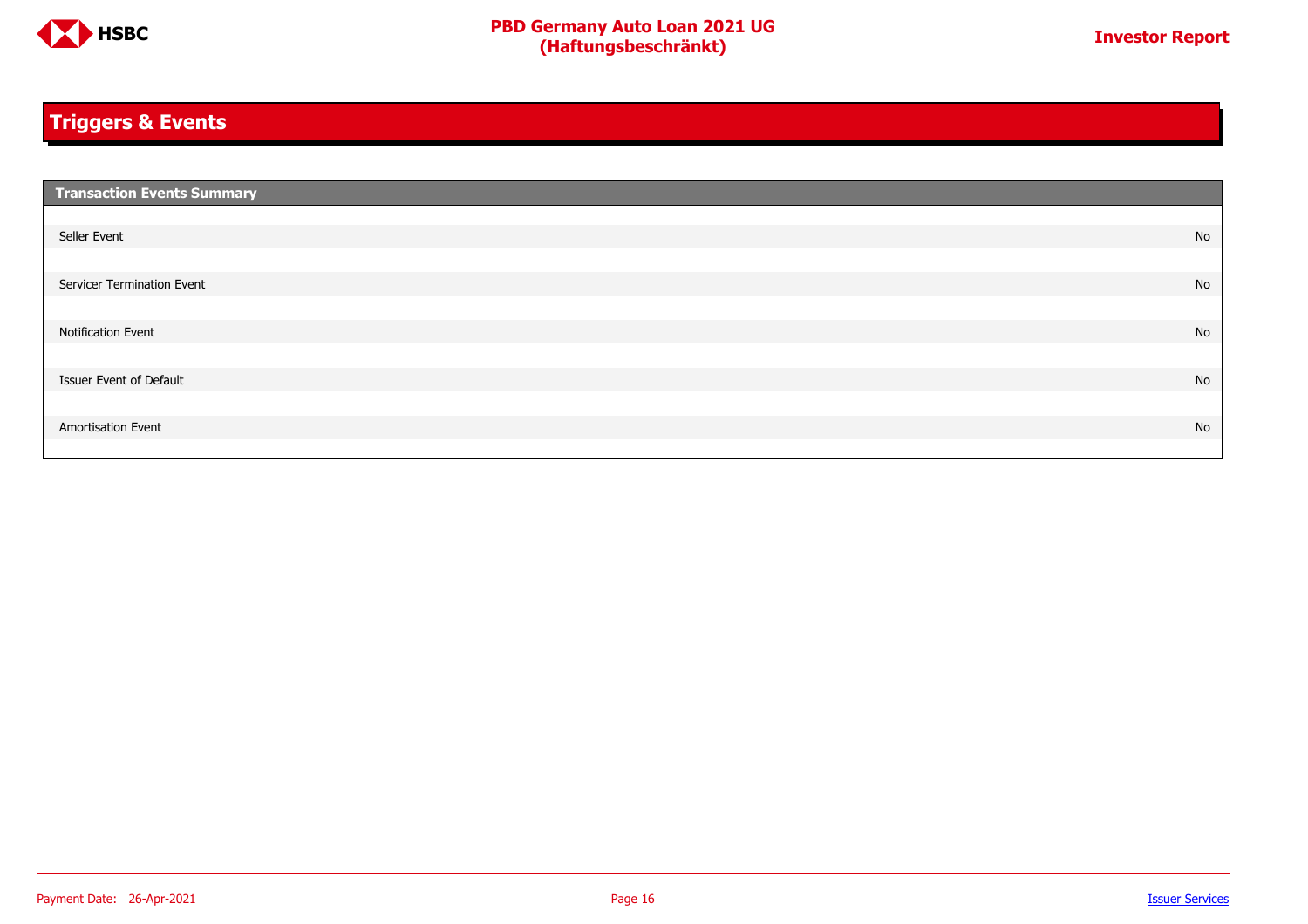

### <span id="page-15-0"></span>**Triggers & Events**

| <b>Transaction Events Summary</b> |    |
|-----------------------------------|----|
|                                   |    |
| Seller Event                      | No |
|                                   |    |
| Servicer Termination Event        | No |
|                                   |    |
| Notification Event                | No |
|                                   |    |
| Issuer Event of Default           | No |
|                                   |    |
| Amortisation Event                | No |
|                                   |    |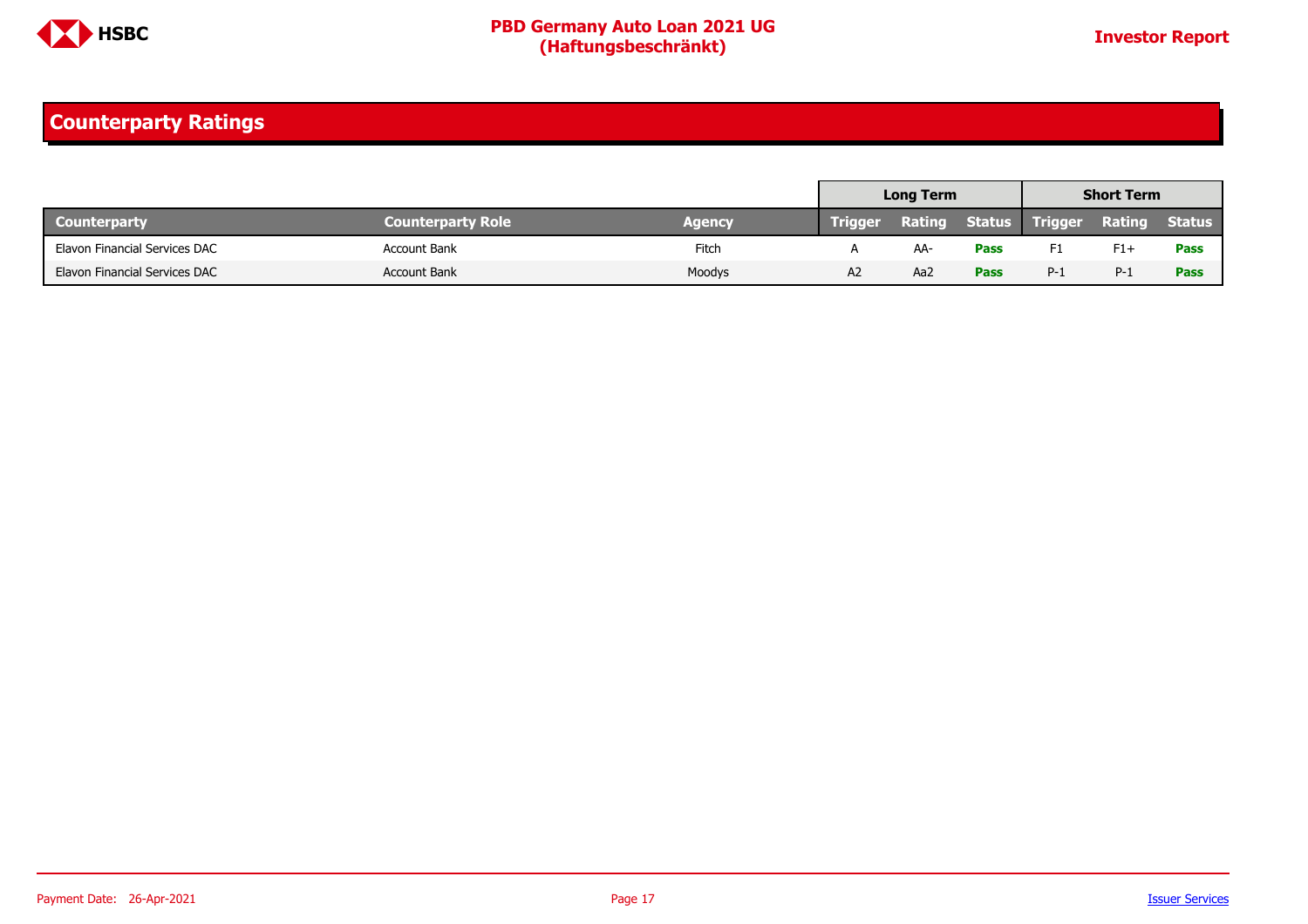

### <span id="page-16-0"></span>**Counterparty Ratings**

|                               |                          |        |                | <b>Long Term</b> |             |                              | <b>Short Term</b> |               |
|-------------------------------|--------------------------|--------|----------------|------------------|-------------|------------------------------|-------------------|---------------|
| <b>Counterparty</b>           | <b>Counterparty Role</b> | Agency | <b>Trigger</b> |                  |             | <b>Rating Status Trigger</b> | Rating            | <b>Status</b> |
| Elavon Financial Services DAC | <b>Account Bank</b>      | Fitch  |                | AA-              | <b>Pass</b> | F1                           | $F1+$             | <b>Pass</b>   |
| Elavon Financial Services DAC | <b>Account Bank</b>      | Moodys | A2             | Aa2              | <b>Pass</b> | $P-1$                        | $P-1$             | <b>Pass</b>   |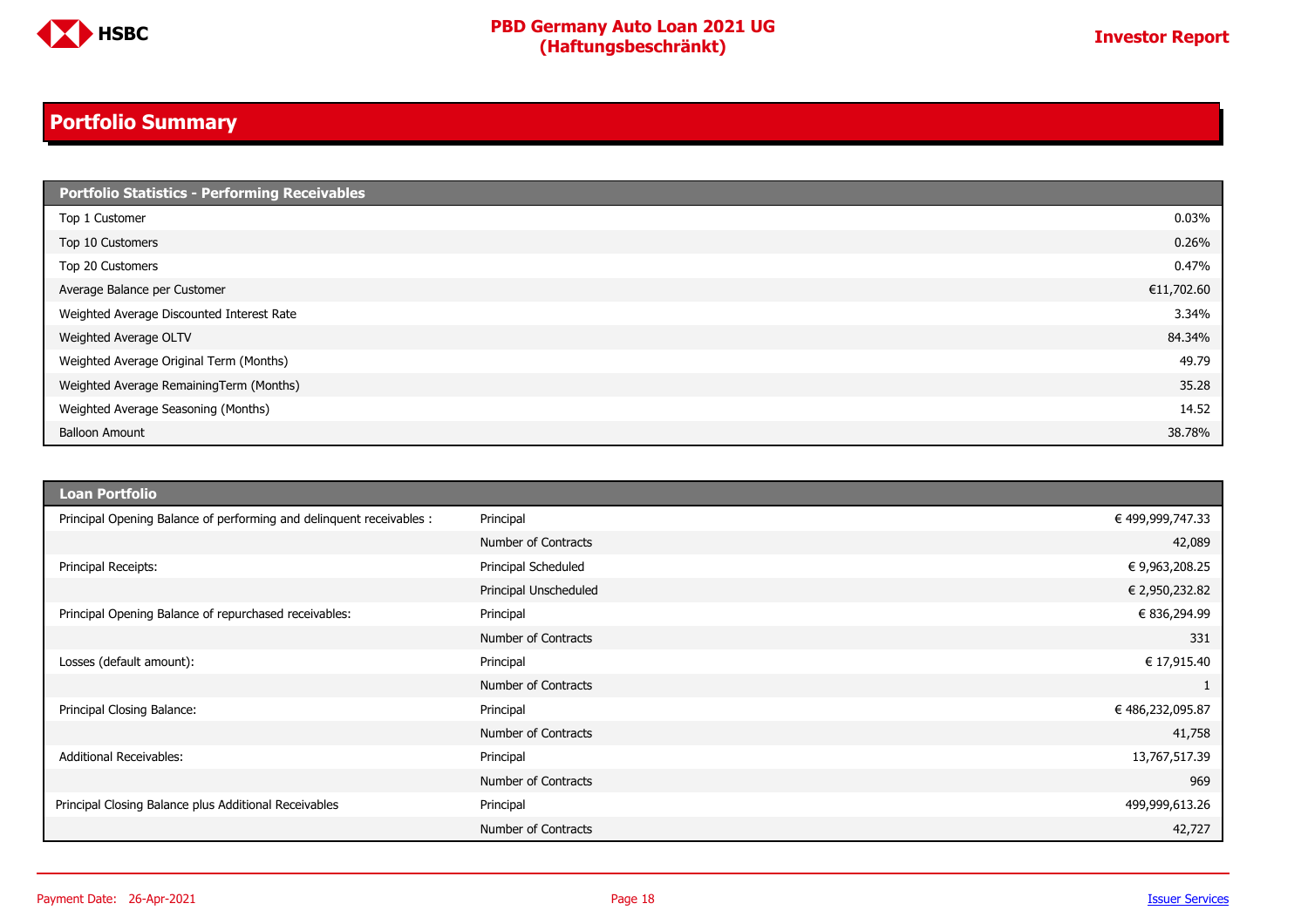

### <span id="page-17-0"></span>**Portfolio Summary**

| <b>Portfolio Statistics - Performing Receivables</b> |            |
|------------------------------------------------------|------------|
| Top 1 Customer                                       | 0.03%      |
| Top 10 Customers                                     | 0.26%      |
| Top 20 Customers                                     | 0.47%      |
| Average Balance per Customer                         | €11,702.60 |
| Weighted Average Discounted Interest Rate            | 3.34%      |
| Weighted Average OLTV                                | 84.34%     |
| Weighted Average Original Term (Months)              | 49.79      |
| Weighted Average RemainingTerm (Months)              | 35.28      |
| Weighted Average Seasoning (Months)                  | 14.52      |
| <b>Balloon Amount</b>                                | 38.78%     |

| Loan Portfolio                                                       |                       |                  |
|----------------------------------------------------------------------|-----------------------|------------------|
| Principal Opening Balance of performing and delinquent receivables : | Principal             | € 499,999,747.33 |
|                                                                      | Number of Contracts   | 42,089           |
| Principal Receipts:                                                  | Principal Scheduled   | €9,963,208.25    |
|                                                                      | Principal Unscheduled | € 2,950,232.82   |
| Principal Opening Balance of repurchased receivables:                | Principal             | € 836,294.99     |
|                                                                      | Number of Contracts   | 331              |
| Losses (default amount):                                             | Principal             | € 17,915.40      |
|                                                                      | Number of Contracts   |                  |
| Principal Closing Balance:                                           | Principal             | € 486,232,095.87 |
|                                                                      | Number of Contracts   | 41,758           |
| <b>Additional Receivables:</b>                                       | Principal             | 13,767,517.39    |
|                                                                      | Number of Contracts   | 969              |
| Principal Closing Balance plus Additional Receivables                | Principal             | 499,999,613.26   |
|                                                                      | Number of Contracts   | 42,727           |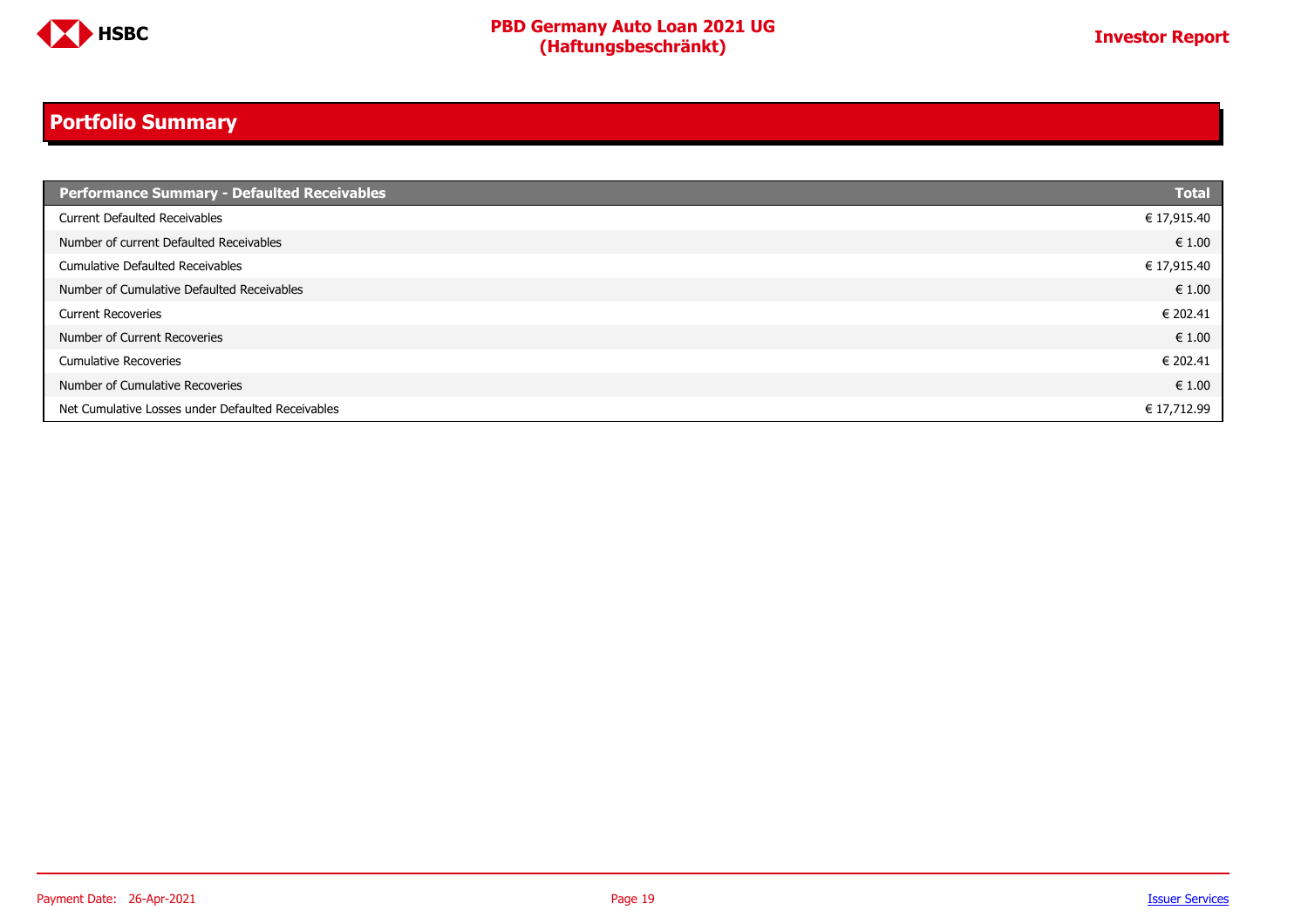

### **Portfolio Summary**

| <b>Performance Summary - Defaulted Receivables</b> | <b>Total</b> |
|----------------------------------------------------|--------------|
| <b>Current Defaulted Receivables</b>               | € 17,915.40  |
| Number of current Defaulted Receivables            | € 1.00       |
| Cumulative Defaulted Receivables                   | € 17,915.40  |
| Number of Cumulative Defaulted Receivables         | € 1.00       |
| <b>Current Recoveries</b>                          | € 202.41     |
| Number of Current Recoveries                       | € 1.00       |
| <b>Cumulative Recoveries</b>                       | € 202.41     |
| Number of Cumulative Recoveries                    | € 1.00       |
| Net Cumulative Losses under Defaulted Receivables  | € 17,712.99  |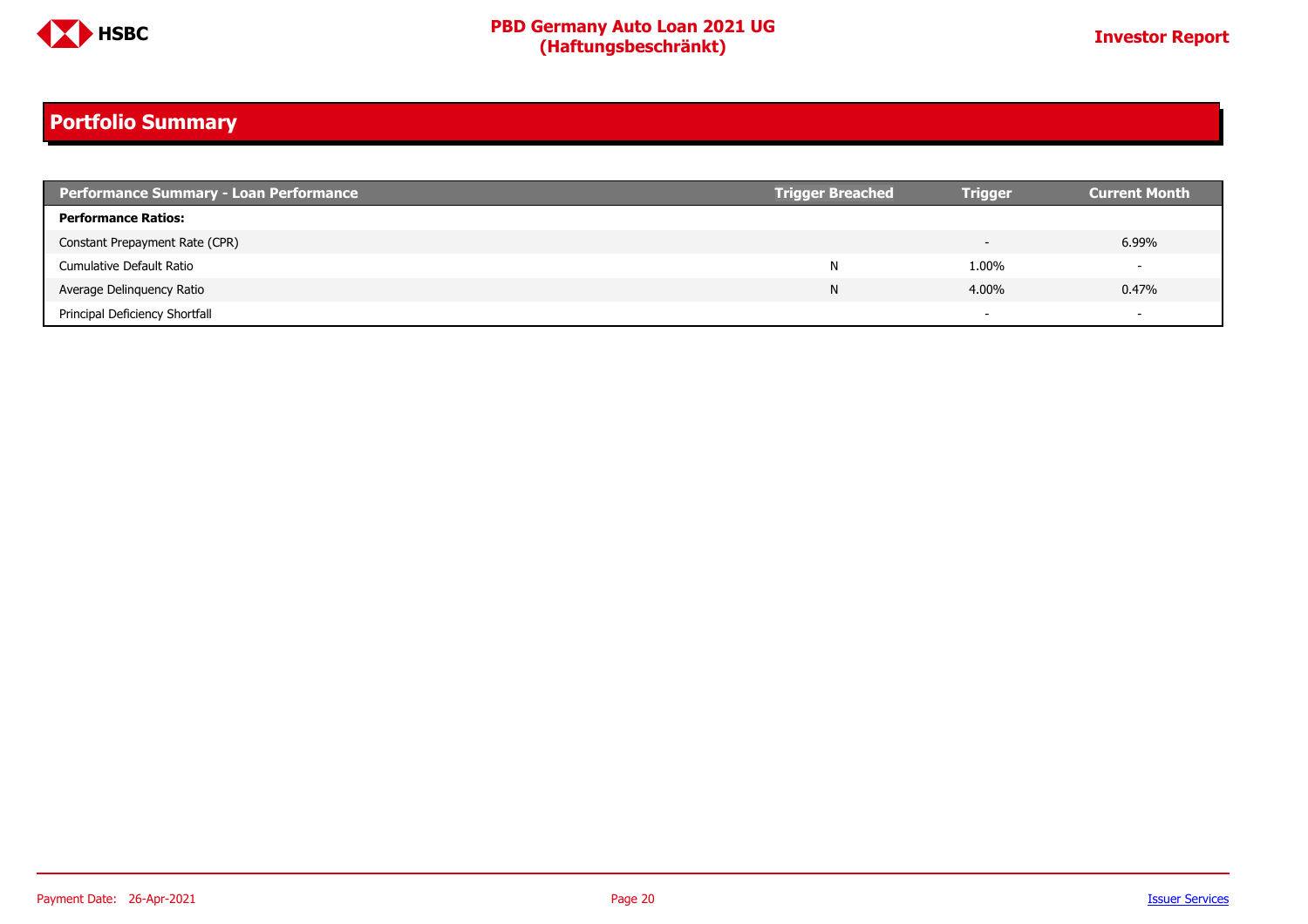

### **Portfolio Summary**

| <b>Performance Summary - Loan Performance</b> | <b>Trigger Breached</b> | <b>Trigger</b> | <b>Current Month</b>     |
|-----------------------------------------------|-------------------------|----------------|--------------------------|
| <b>Performance Ratios:</b>                    |                         |                |                          |
| Constant Prepayment Rate (CPR)                |                         |                | 6.99%                    |
| Cumulative Default Ratio                      | N                       | 1.00%          | $\overline{\phantom{0}}$ |
| Average Delinguency Ratio                     | N                       | 4.00%          | 0.47%                    |
| Principal Deficiency Shortfall                |                         |                | $\overline{\phantom{0}}$ |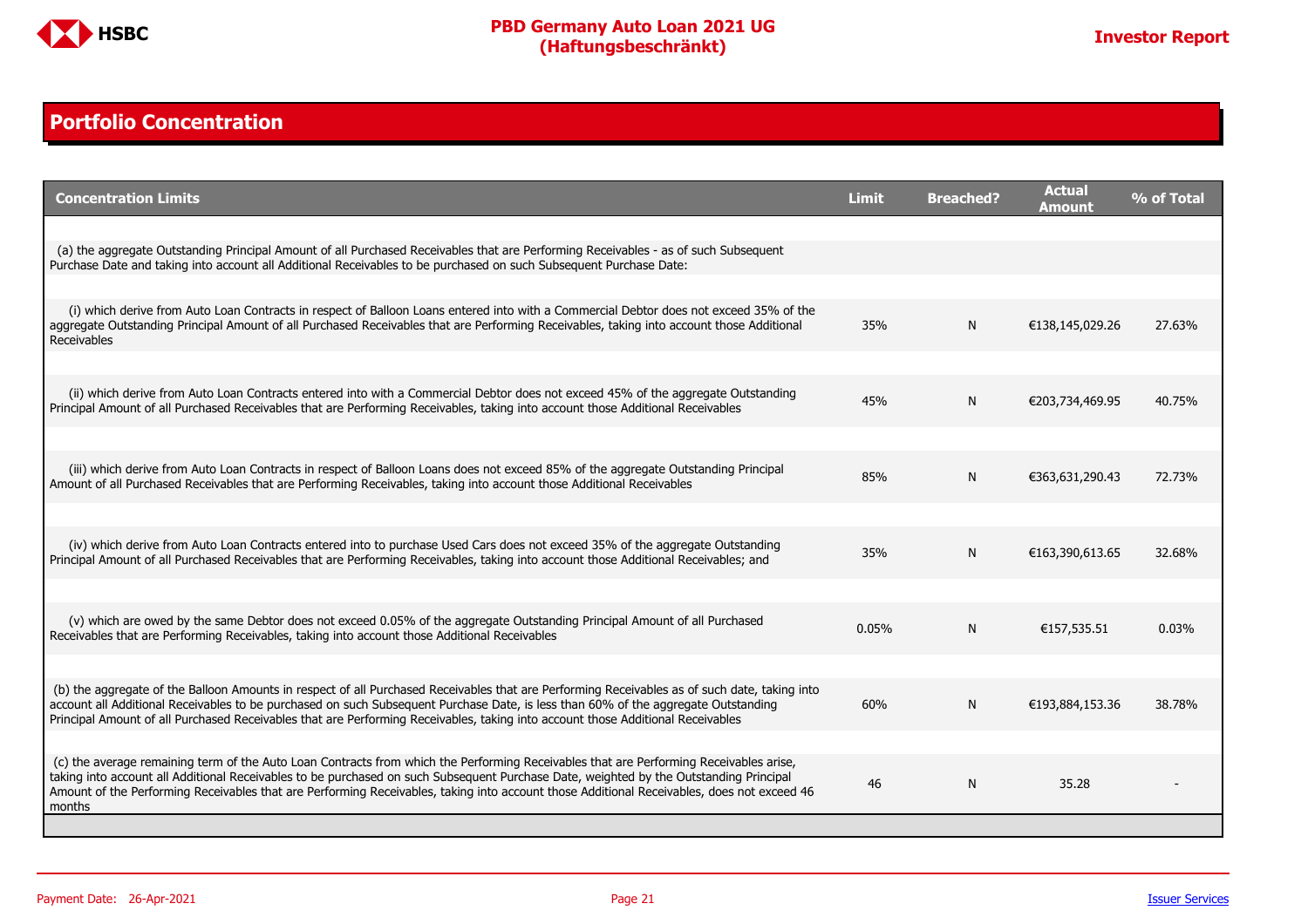

#### <span id="page-20-0"></span>**Portfolio Concentration**

| <b>Concentration Limits</b>                                                                                                                                                                                                                                                                                                                                                                                                              | <b>Limit</b> | <b>Breached?</b> | <b>Actual</b><br>Amount | % of Total |
|------------------------------------------------------------------------------------------------------------------------------------------------------------------------------------------------------------------------------------------------------------------------------------------------------------------------------------------------------------------------------------------------------------------------------------------|--------------|------------------|-------------------------|------------|
|                                                                                                                                                                                                                                                                                                                                                                                                                                          |              |                  |                         |            |
| (a) the aggregate Outstanding Principal Amount of all Purchased Receivables that are Performing Receivables - as of such Subsequent<br>Purchase Date and taking into account all Additional Receivables to be purchased on such Subsequent Purchase Date:                                                                                                                                                                                |              |                  |                         |            |
|                                                                                                                                                                                                                                                                                                                                                                                                                                          |              |                  |                         |            |
| (i) which derive from Auto Loan Contracts in respect of Balloon Loans entered into with a Commercial Debtor does not exceed 35% of the<br>aggregate Outstanding Principal Amount of all Purchased Receivables that are Performing Receivables, taking into account those Additional<br>Receivables                                                                                                                                       | 35%          | N                | €138,145,029.26         | 27.63%     |
|                                                                                                                                                                                                                                                                                                                                                                                                                                          |              |                  |                         |            |
| (ii) which derive from Auto Loan Contracts entered into with a Commercial Debtor does not exceed 45% of the aggregate Outstanding<br>Principal Amount of all Purchased Receivables that are Performing Receivables, taking into account those Additional Receivables                                                                                                                                                                     | 45%          | N                | €203,734,469.95         | 40.75%     |
|                                                                                                                                                                                                                                                                                                                                                                                                                                          |              |                  |                         |            |
| (iii) which derive from Auto Loan Contracts in respect of Balloon Loans does not exceed 85% of the aggregate Outstanding Principal<br>Amount of all Purchased Receivables that are Performing Receivables, taking into account those Additional Receivables                                                                                                                                                                              | 85%          | N                | €363,631,290.43         | 72.73%     |
|                                                                                                                                                                                                                                                                                                                                                                                                                                          |              |                  |                         |            |
| (iv) which derive from Auto Loan Contracts entered into to purchase Used Cars does not exceed 35% of the aggregate Outstanding<br>Principal Amount of all Purchased Receivables that are Performing Receivables, taking into account those Additional Receivables; and                                                                                                                                                                   | 35%          | N                | €163,390,613.65         | 32.68%     |
|                                                                                                                                                                                                                                                                                                                                                                                                                                          |              |                  |                         |            |
| (v) which are owed by the same Debtor does not exceed 0.05% of the aggregate Outstanding Principal Amount of all Purchased<br>Receivables that are Performing Receivables, taking into account those Additional Receivables                                                                                                                                                                                                              | 0.05%        | N                | €157,535.51             | 0.03%      |
|                                                                                                                                                                                                                                                                                                                                                                                                                                          |              |                  |                         |            |
| (b) the aggregate of the Balloon Amounts in respect of all Purchased Receivables that are Performing Receivables as of such date, taking into<br>account all Additional Receivables to be purchased on such Subsequent Purchase Date, is less than 60% of the aggregate Outstanding<br>Principal Amount of all Purchased Receivables that are Performing Receivables, taking into account those Additional Receivables                   | 60%          | N                | €193,884,153.36         | 38.78%     |
|                                                                                                                                                                                                                                                                                                                                                                                                                                          |              |                  |                         |            |
| (c) the average remaining term of the Auto Loan Contracts from which the Performing Receivables that are Performing Receivables arise,<br>taking into account all Additional Receivables to be purchased on such Subsequent Purchase Date, weighted by the Outstanding Principal<br>Amount of the Performing Receivables that are Performing Receivables, taking into account those Additional Receivables, does not exceed 46<br>months | 46           | N                | 35.28                   |            |
|                                                                                                                                                                                                                                                                                                                                                                                                                                          |              |                  |                         |            |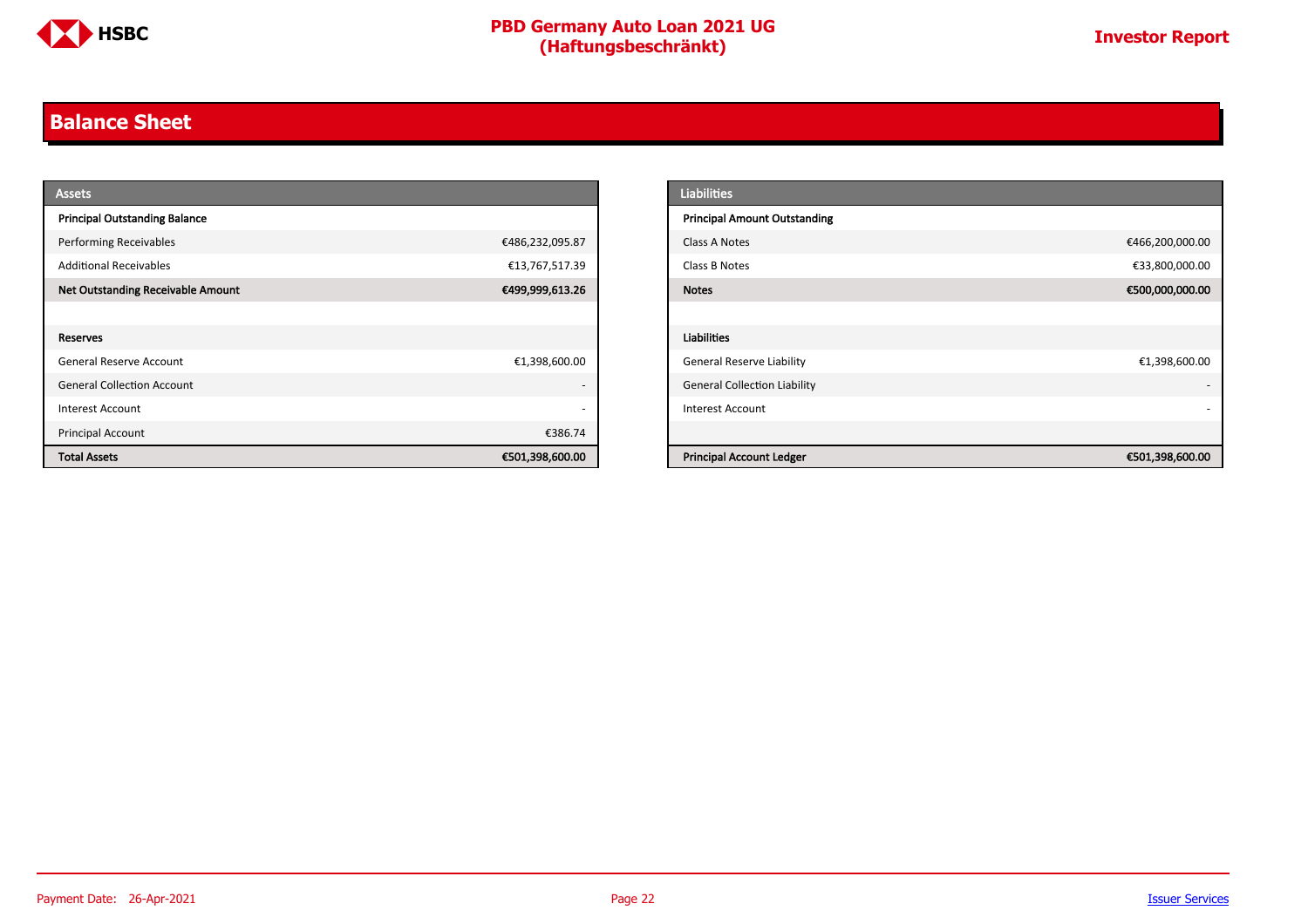

#### <span id="page-21-0"></span>**Balance Sheet**

| <b>Assets</b>                            |                          | <b>Liabilities</b>                                 |
|------------------------------------------|--------------------------|----------------------------------------------------|
| <b>Principal Outstanding Balance</b>     |                          | <b>Principal Amount Outstanding</b>                |
| <b>Performing Receivables</b>            | €486,232,095.87          | €466,200,000.00<br>Class A Notes                   |
| <b>Additional Receivables</b>            | €13,767,517.39           | €33,800,000.00<br>Class B Notes                    |
| <b>Net Outstanding Receivable Amount</b> | €499,999,613.26          | €500,000,000.00<br><b>Notes</b>                    |
|                                          |                          |                                                    |
| Reserves                                 |                          | Liabilities                                        |
| General Reserve Account                  | €1,398,600.00            | <b>General Reserve Liability</b><br>€1,398,600.00  |
| <b>General Collection Account</b>        | $\overline{\phantom{0}}$ | <b>General Collection Liability</b>                |
| Interest Account                         | $\overline{\phantom{0}}$ | <b>Interest Account</b>                            |
| Principal Account                        | €386.74                  |                                                    |
| <b>Total Assets</b>                      | €501,398,600.00          | <b>Principal Account Ledger</b><br>€501,398,600.00 |

| <b>Liabilities</b>                  |                 |
|-------------------------------------|-----------------|
| <b>Principal Amount Outstanding</b> |                 |
| Class A Notes                       | €466,200,000.00 |
| Class B Notes                       | €33,800,000.00  |
| <b>Notes</b>                        | €500,000,000.00 |
|                                     |                 |
| <b>Liabilities</b>                  |                 |
| <b>General Reserve Liability</b>    | €1,398,600.00   |
| <b>General Collection Liability</b> |                 |
| <b>Interest Account</b>             |                 |
|                                     |                 |
| <b>Principal Account Ledger</b>     | €501,398,600.00 |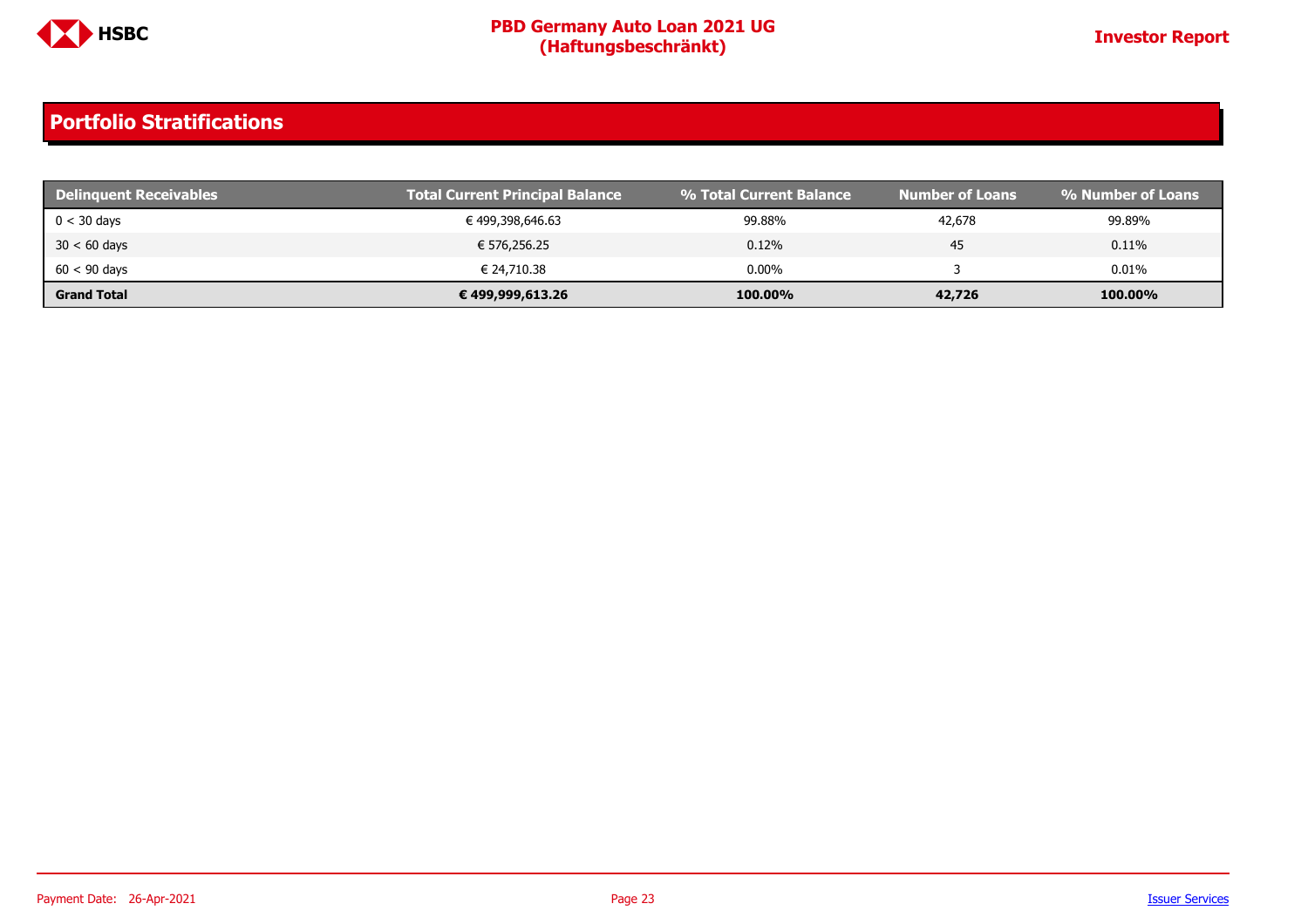

| <b>Delinguent Receivables</b> | <b>Total Current Principal Balance</b> | % Total Current Balance | <b>Number of Loans</b> | % Number of Loans |
|-------------------------------|----------------------------------------|-------------------------|------------------------|-------------------|
| $0 < 30$ days                 | € 499,398,646.63                       | 99.88%                  | 42,678                 | 99.89%            |
| $30 < 60$ days                | € 576,256.25                           | 0.12%                   | 45                     | 0.11%             |
| $60 < 90$ days                | € 24.710.38                            | $0.00\%$                |                        | $0.01\%$          |
| <b>Grand Total</b>            | € 499,999,613.26                       | 100.00%                 | 42,726                 | 100.00%           |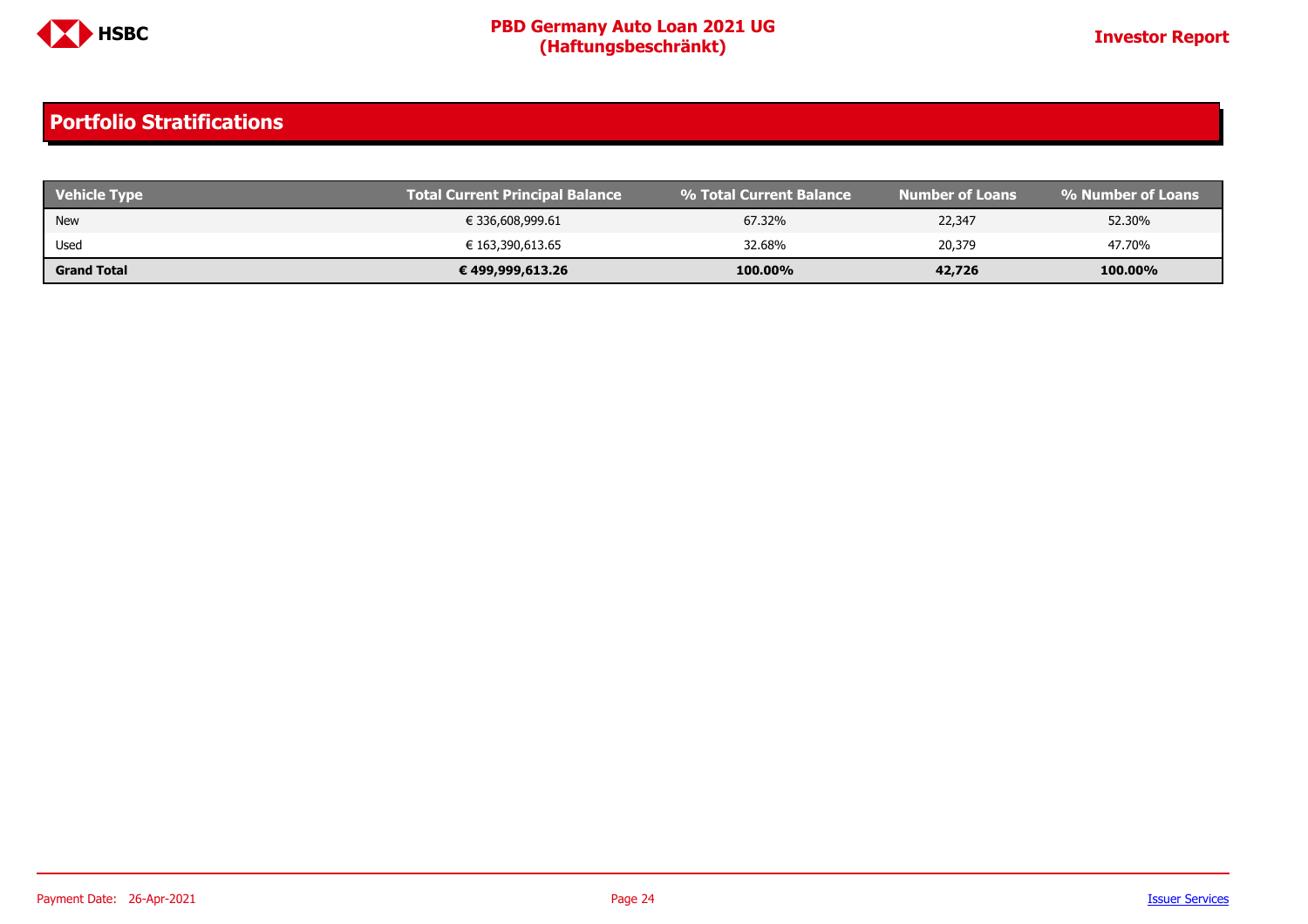

| <b>Vehicle Type</b> | Total Current Principal Balance | 1 % Total Current Balance | Number of Loans | <b>1% Number of Loans</b> |
|---------------------|---------------------------------|---------------------------|-----------------|---------------------------|
| New                 | € 336,608,999.61                | 67.32%                    | 22,347          | 52.30%                    |
| Used                | € 163,390,613.65                | 32.68%                    | 20,379          | 47.70%                    |
| <b>Grand Total</b>  | € 499,999,613.26                | 100.00%                   | 42,726          | 100.00%                   |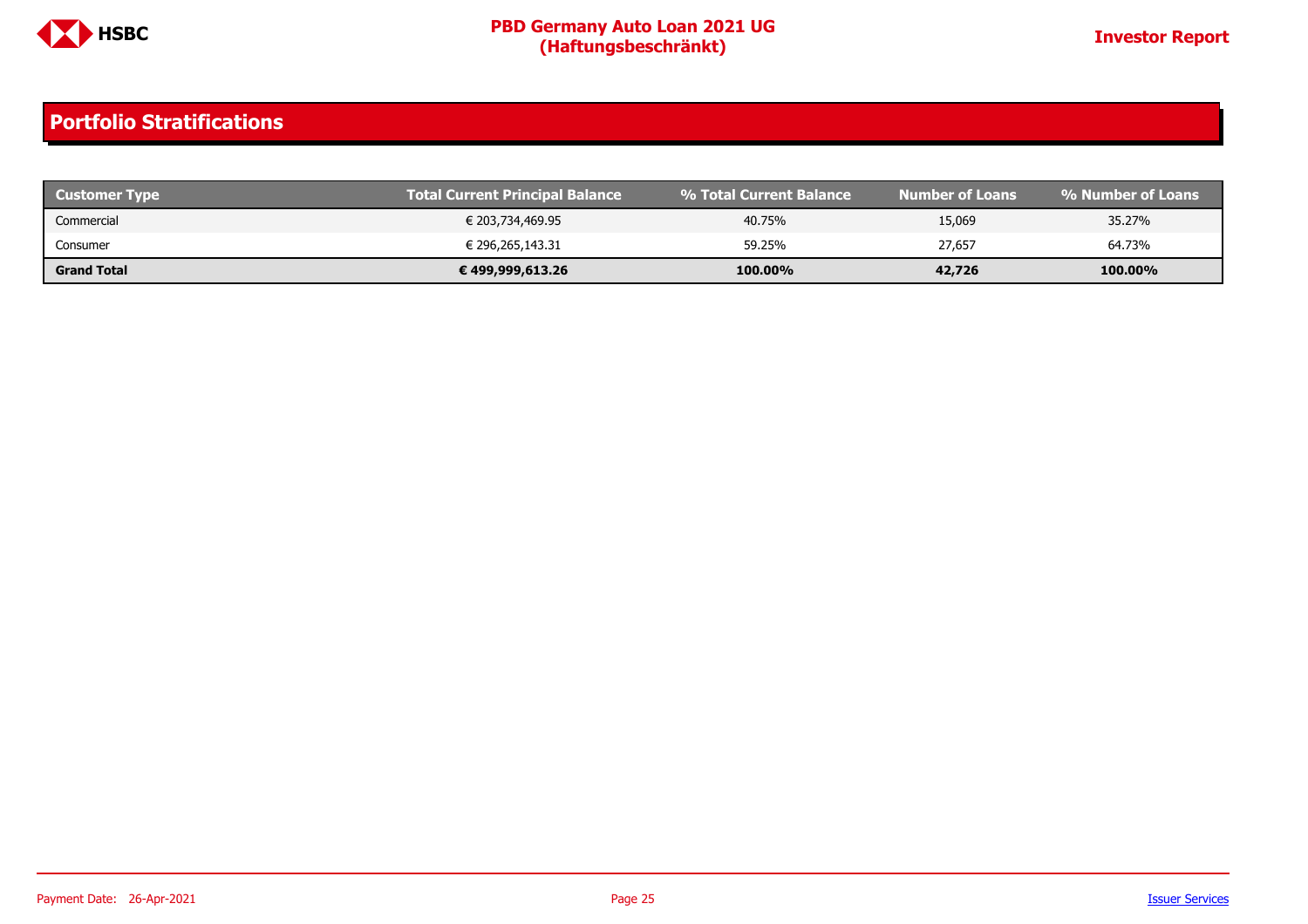

| <b>Customer Type</b> | <b>Total Current Principal Balance</b> | 1 % Total Current Balance | Mumber of Loans <b>b</b> | । % Number of Loans ' |
|----------------------|----------------------------------------|---------------------------|--------------------------|-----------------------|
| Commercial           | € 203,734,469.95                       | 40.75%                    | 15,069                   | 35.27%                |
| Consumer             | € 296,265,143.31                       | 59.25%                    | 27,657                   | 64.73%                |
| <b>Grand Total</b>   | € 499,999,613.26                       | 100.00%                   | 42,726                   | 100.00%               |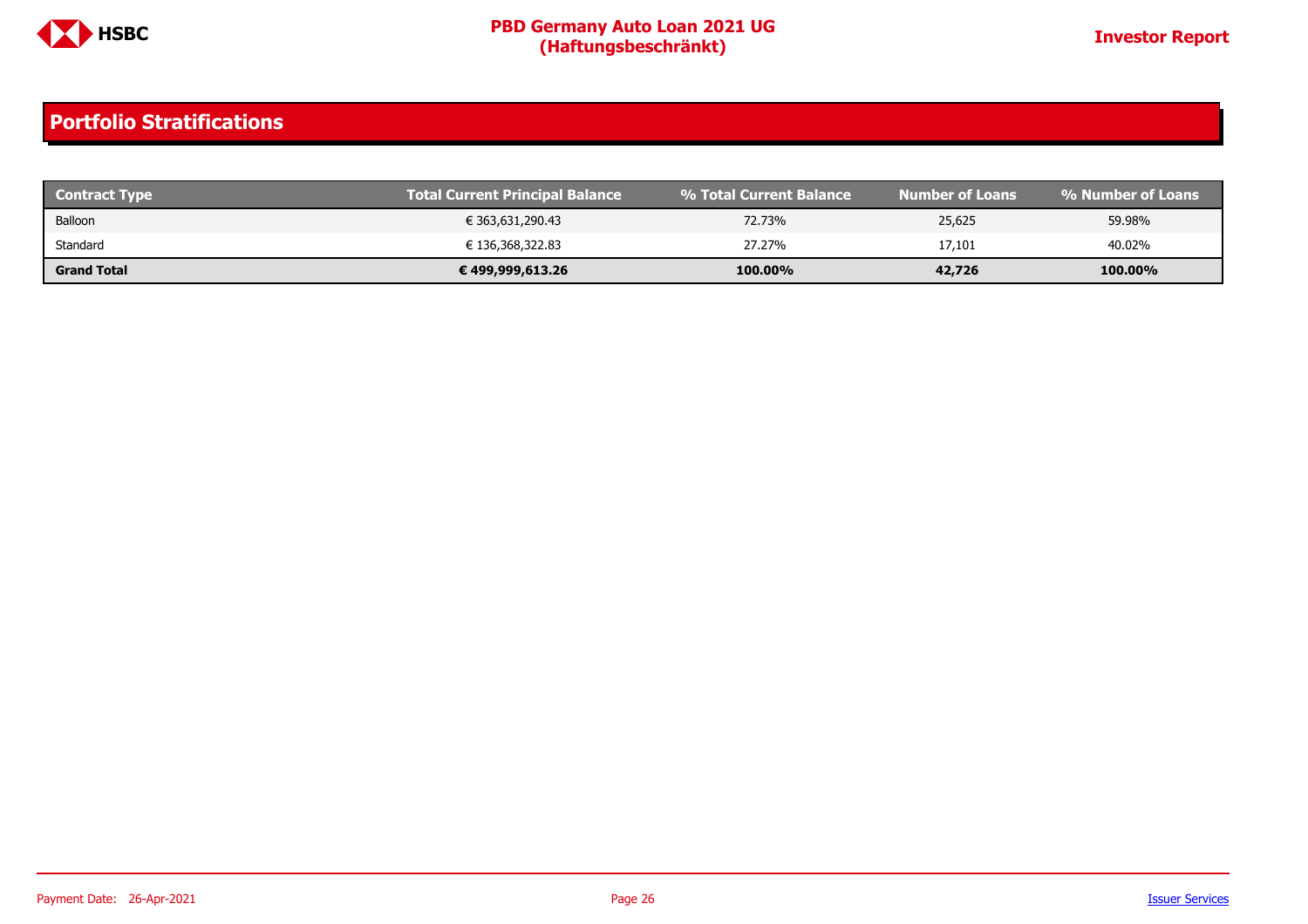

| <b>Contract Type</b> | <b>Total Current Principal Balance</b> | ↓% Total Current Balance \ | Number of Loans' | % Number of Loans |
|----------------------|----------------------------------------|----------------------------|------------------|-------------------|
| Balloon              | € 363,631,290.43                       | 72.73%                     | 25,625           | 59.98%            |
| Standard             | € 136,368,322.83                       | 27.27%                     | 17,101           | 40.02%            |
| <b>Grand Total</b>   | € 499,999,613.26                       | 100.00%                    | 42,726           | 100.00%           |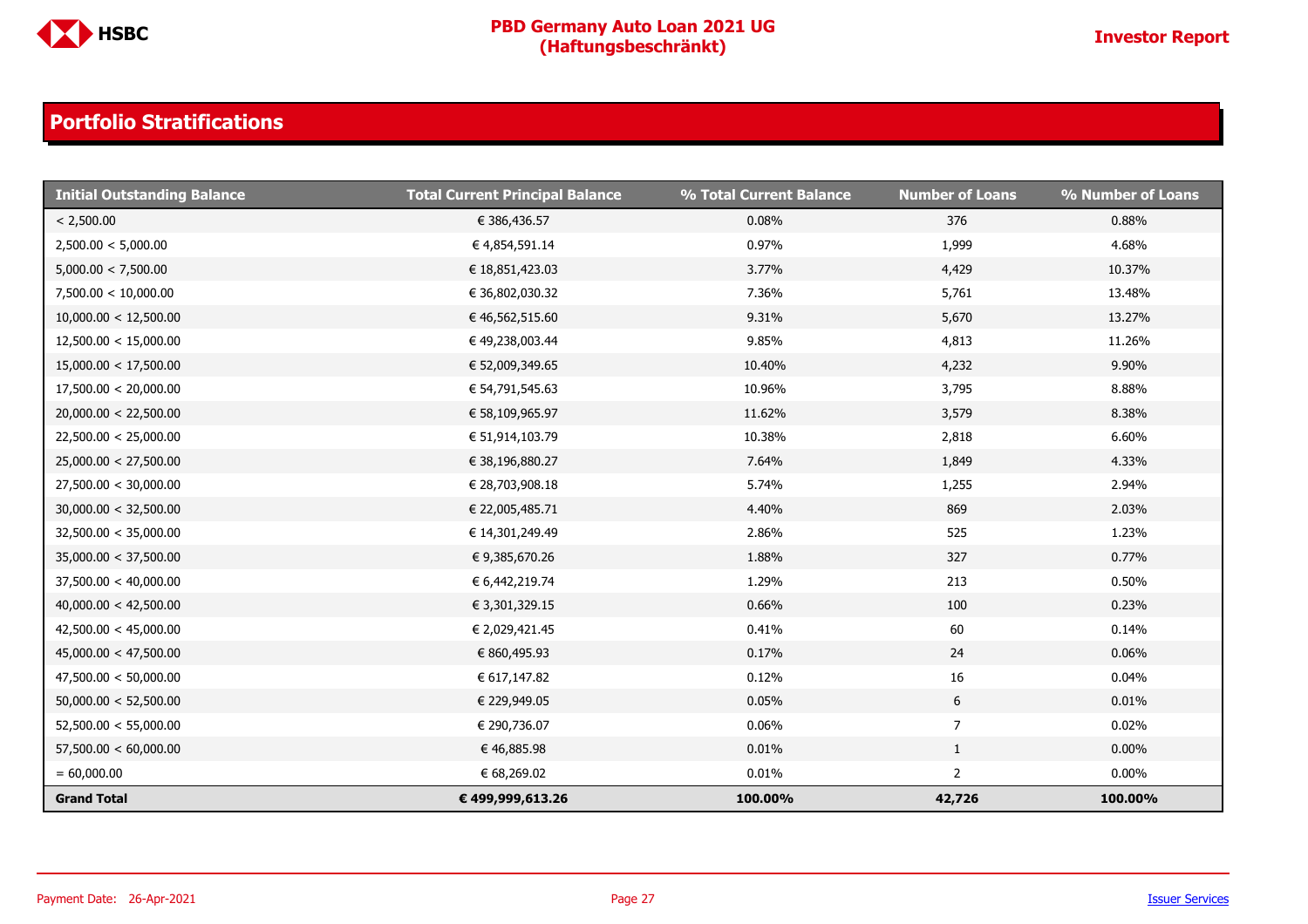

| <b>Initial Outstanding Balance</b> | <b>Total Current Principal Balance</b> | % Total Current Balance | <b>Number of Loans</b> | % Number of Loans |
|------------------------------------|----------------------------------------|-------------------------|------------------------|-------------------|
| < 2,500.00                         | € 386,436.57                           | 0.08%                   | 376                    | 0.88%             |
| 2,500.00 < 5,000.00                | € 4,854,591.14                         | 0.97%                   | 1,999                  | 4.68%             |
| 5,000.00 < 7,500.00                | € 18,851,423.03                        | 3.77%                   | 4,429                  | 10.37%            |
| 7,500.00 < 10,000.00               | € 36,802,030.32                        | 7.36%                   | 5,761                  | 13.48%            |
| 10,000.00 < 12,500.00              | € 46,562,515.60                        | 9.31%                   | 5,670                  | 13.27%            |
| 12,500.00 < 15,000.00              | € 49,238,003.44                        | 9.85%                   | 4,813                  | 11.26%            |
| 15,000.00 < 17,500.00              | € 52,009,349.65                        | 10.40%                  | 4,232                  | 9.90%             |
| 17,500.00 < 20,000.00              | € 54,791,545.63                        | 10.96%                  | 3,795                  | 8.88%             |
| 20,000.00 < 22,500.00              | € 58,109,965.97                        | 11.62%                  | 3,579                  | 8.38%             |
| 22,500.00 < 25,000.00              | € 51,914,103.79                        | 10.38%                  | 2,818                  | 6.60%             |
| 25,000.00 < 27,500.00              | € 38,196,880.27                        | 7.64%                   | 1,849                  | 4.33%             |
| 27,500.00 < 30,000.00              | € 28,703,908.18                        | 5.74%                   | 1,255                  | 2.94%             |
| 30,000.00 < 32,500.00              | € 22,005,485.71                        | 4.40%                   | 869                    | 2.03%             |
| 32,500.00 < 35,000.00              | € 14,301,249.49                        | 2.86%                   | 525                    | 1.23%             |
| 35,000.00 < 37,500.00              | € 9,385,670.26                         | 1.88%                   | 327                    | 0.77%             |
| 37,500.00 < 40,000.00              | € 6,442,219.74                         | 1.29%                   | 213                    | 0.50%             |
| 40,000.00 < 42,500.00              | € 3,301,329.15                         | 0.66%                   | 100                    | 0.23%             |
| 42,500.00 < 45,000.00              | € 2,029,421.45                         | 0.41%                   | 60                     | 0.14%             |
| 45,000.00 < 47,500.00              | € 860,495.93                           | 0.17%                   | 24                     | 0.06%             |
| 47,500.00 < 50,000.00              | € 617,147.82                           | 0.12%                   | $16\,$                 | 0.04%             |
| 50,000.00 < 52,500.00              | € 229,949.05                           | 0.05%                   | $6\phantom{.}6$        | 0.01%             |
| 52,500.00 < 55,000.00              | € 290,736.07                           | 0.06%                   | $\overline{7}$         | 0.02%             |
| 57,500.00 < 60,000.00              | € 46,885.98                            | 0.01%                   | $\mathbf{1}$           | $0.00\%$          |
| $= 60,000.00$                      | € 68,269.02                            | 0.01%                   | $\overline{2}$         | $0.00\%$          |
| <b>Grand Total</b>                 | € 499,999,613.26                       | 100.00%                 | 42,726                 | 100.00%           |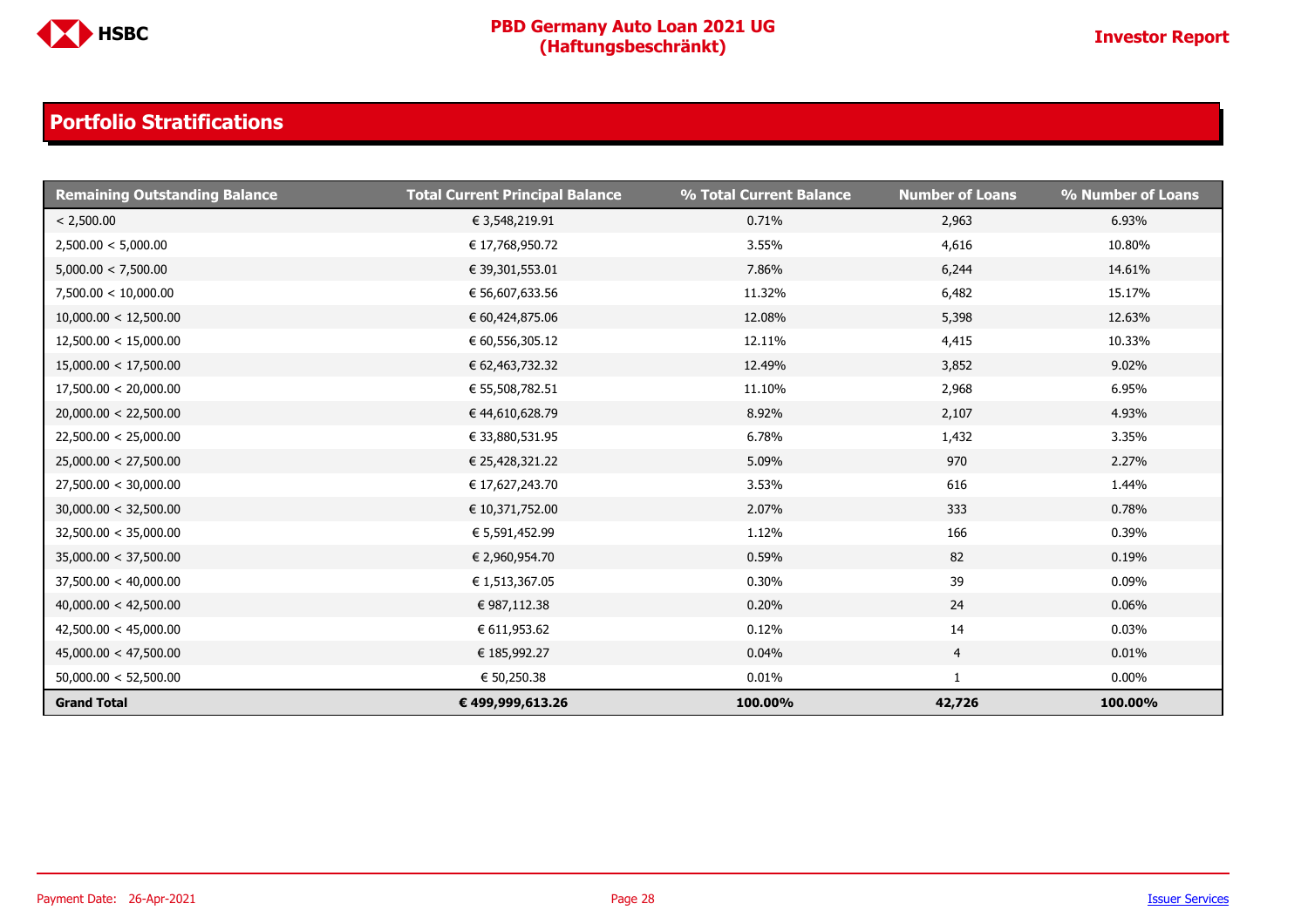

| <b>Remaining Outstanding Balance</b> | <b>Total Current Principal Balance</b> | % Total Current Balance | <b>Number of Loans</b> | % Number of Loans |
|--------------------------------------|----------------------------------------|-------------------------|------------------------|-------------------|
| < 2,500.00                           | € 3,548,219.91                         | 0.71%                   | 2,963                  | 6.93%             |
| 2,500.00 < 5,000.00                  | € 17,768,950.72                        | 3.55%                   | 4,616                  | 10.80%            |
| 5,000.00 < 7,500.00                  | € 39,301,553.01                        | 7.86%                   | 6,244                  | 14.61%            |
| 7,500.00 < 10,000.00                 | € 56,607,633.56                        | 11.32%                  | 6,482                  | 15.17%            |
| 10,000.00 < 12,500.00                | € 60,424,875.06                        | 12.08%                  | 5,398                  | 12.63%            |
| 12,500.00 < 15,000.00                | € 60,556,305.12                        | 12.11%                  | 4,415                  | 10.33%            |
| 15,000.00 < 17,500.00                | € 62,463,732.32                        | 12.49%                  | 3,852                  | 9.02%             |
| 17,500.00 < 20,000.00                | € 55,508,782.51                        | 11.10%                  | 2,968                  | 6.95%             |
| 20,000.00 < 22,500.00                | € 44,610,628.79                        | 8.92%                   | 2,107                  | 4.93%             |
| 22,500.00 < 25,000.00                | € 33,880,531.95                        | 6.78%                   | 1,432                  | 3.35%             |
| 25,000.00 < 27,500.00                | € 25,428,321.22                        | 5.09%                   | 970                    | 2.27%             |
| 27,500.00 < 30,000.00                | € 17,627,243.70                        | 3.53%                   | 616                    | 1.44%             |
| 30,000.00 < 32,500.00                | € 10,371,752.00                        | 2.07%                   | 333                    | 0.78%             |
| 32,500.00 < 35,000.00                | € 5,591,452.99                         | 1.12%                   | 166                    | 0.39%             |
| 35,000.00 < 37,500.00                | € 2,960,954.70                         | 0.59%                   | 82                     | 0.19%             |
| 37,500.00 < 40,000.00                | € 1,513,367.05                         | 0.30%                   | 39                     | 0.09%             |
| 40,000.00 < 42,500.00                | € 987,112.38                           | 0.20%                   | 24                     | 0.06%             |
| 42,500.00 < 45,000.00                | € 611,953.62                           | 0.12%                   | 14                     | 0.03%             |
| 45,000.00 < 47,500.00                | € 185,992.27                           | 0.04%                   | 4                      | 0.01%             |
| 50,000.00 < 52,500.00                | € 50,250.38                            | 0.01%                   | $\mathbf{1}$           | $0.00\%$          |
| <b>Grand Total</b>                   | € 499,999,613.26                       | 100.00%                 | 42,726                 | 100.00%           |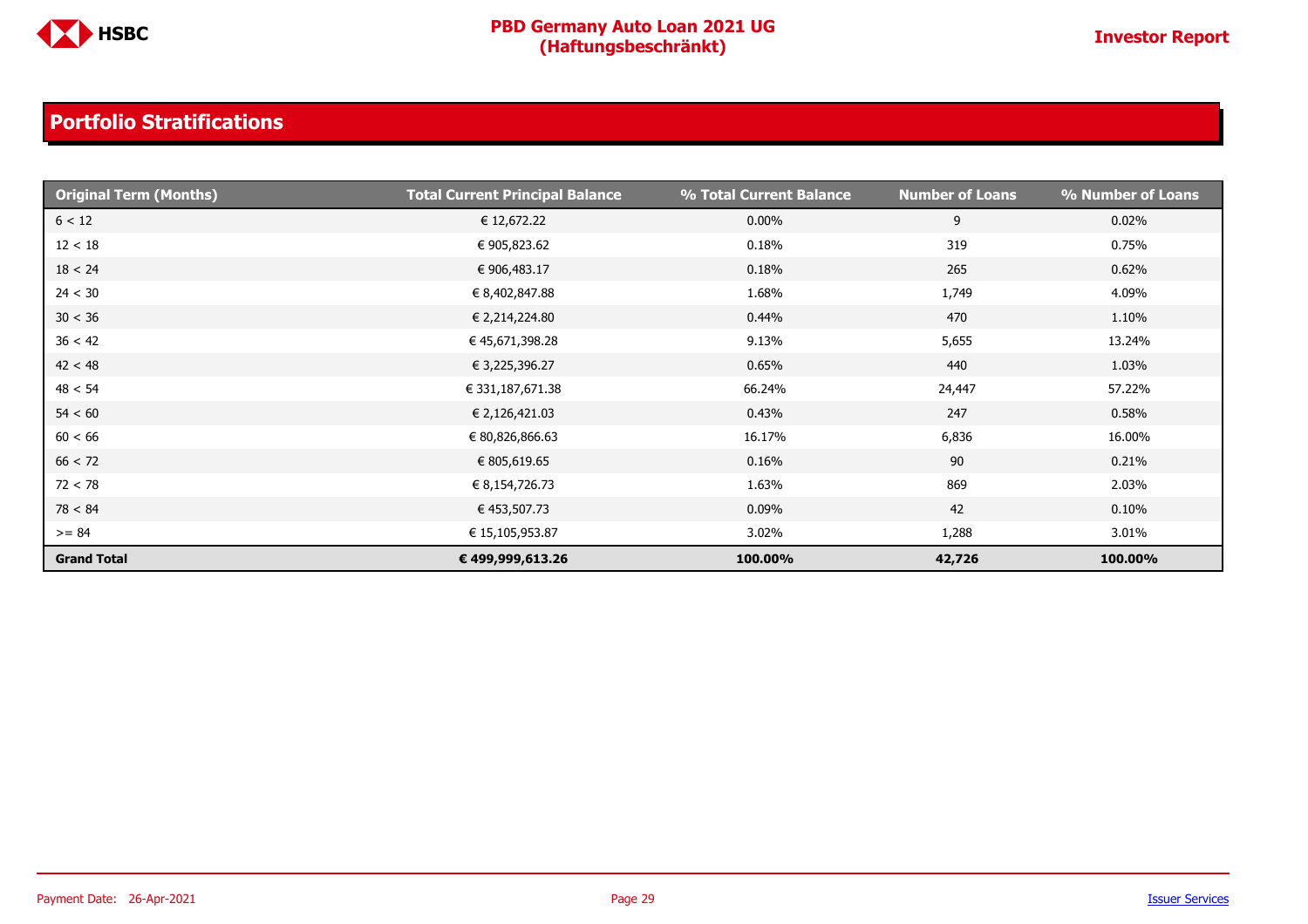

| <b>Original Term (Months)</b> | <b>Total Current Principal Balance</b> | % Total Current Balance | <b>Number of Loans</b> | % Number of Loans |
|-------------------------------|----------------------------------------|-------------------------|------------------------|-------------------|
| 6 < 12                        | € 12,672.22                            | $0.00\%$                | 9                      | 0.02%             |
| 12 < 18                       | € 905,823.62                           | 0.18%                   | 319                    | 0.75%             |
| 18 < 24                       | € 906,483.17                           | 0.18%                   | 265                    | 0.62%             |
| 24 < 30                       | € 8,402,847.88                         | 1.68%                   | 1,749                  | 4.09%             |
| 30 < 36                       | € 2,214,224.80                         | 0.44%                   | 470                    | 1.10%             |
| 36 < 42                       | € 45,671,398.28                        | 9.13%                   | 5,655                  | 13.24%            |
| 42 < 48                       | € 3,225,396.27                         | 0.65%                   | 440                    | 1.03%             |
| 48 < 54                       | € 331,187,671.38                       | 66.24%                  | 24,447                 | 57.22%            |
| 54 < 60                       | € 2,126,421.03                         | 0.43%                   | 247                    | 0.58%             |
| 60 < 66                       | € 80,826,866.63                        | 16.17%                  | 6,836                  | 16.00%            |
| 66 < 72                       | € 805,619.65                           | 0.16%                   | 90                     | 0.21%             |
| 72 < 78                       | € 8,154,726.73                         | 1.63%                   | 869                    | 2.03%             |
| 78 < 84                       | € 453,507.73                           | 0.09%                   | 42                     | $0.10\%$          |
| $>= 84$                       | € 15,105,953.87                        | 3.02%                   | 1,288                  | 3.01%             |
| <b>Grand Total</b>            | € 499,999,613.26                       | 100.00%                 | 42,726                 | 100.00%           |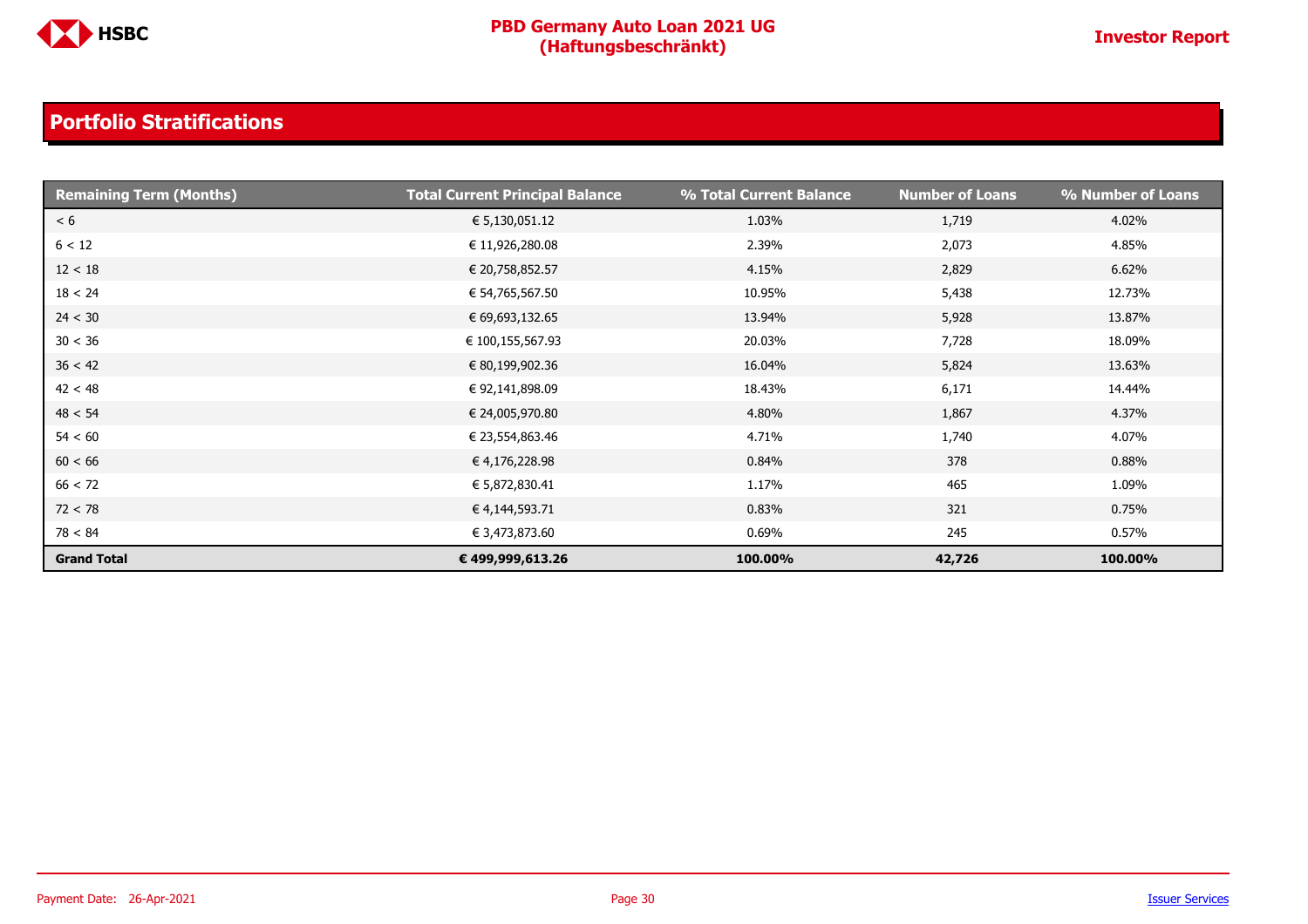

| <b>Remaining Term (Months)</b> | <b>Total Current Principal Balance</b> | % Total Current Balance | <b>Number of Loans</b> | % Number of Loans |
|--------------------------------|----------------------------------------|-------------------------|------------------------|-------------------|
| < 6                            | € 5,130,051.12                         | 1.03%                   | 1,719                  | 4.02%             |
| 6 < 12                         | € 11,926,280.08                        | 2.39%                   | 2,073                  | 4.85%             |
| 12 < 18                        | € 20,758,852.57                        | 4.15%                   | 2,829                  | 6.62%             |
| 18 < 24                        | € 54,765,567.50                        | 10.95%                  | 5,438                  | 12.73%            |
| 24 < 30                        | € 69,693,132.65                        | 13.94%                  | 5,928                  | 13.87%            |
| 30 < 36                        | € 100,155,567.93                       | 20.03%                  | 7,728                  | 18.09%            |
| 36 < 42                        | € 80,199,902.36                        | 16.04%                  | 5,824                  | 13.63%            |
| 42 < 48                        | € 92,141,898.09                        | 18.43%                  | 6,171                  | 14.44%            |
| 48 < 54                        | € 24,005,970.80                        | 4.80%                   | 1,867                  | 4.37%             |
| 54 < 60                        | € 23,554,863.46                        | 4.71%                   | 1,740                  | 4.07%             |
| 60 < 66                        | € 4,176,228.98                         | 0.84%                   | 378                    | 0.88%             |
| 66 < 72                        | € 5,872,830.41                         | 1.17%                   | 465                    | 1.09%             |
| 72 < 78                        | € 4,144,593.71                         | 0.83%                   | 321                    | 0.75%             |
| 78 < 84                        | € 3,473,873.60                         | 0.69%                   | 245                    | 0.57%             |
| <b>Grand Total</b>             | € 499,999,613.26                       | 100.00%                 | 42,726                 | 100.00%           |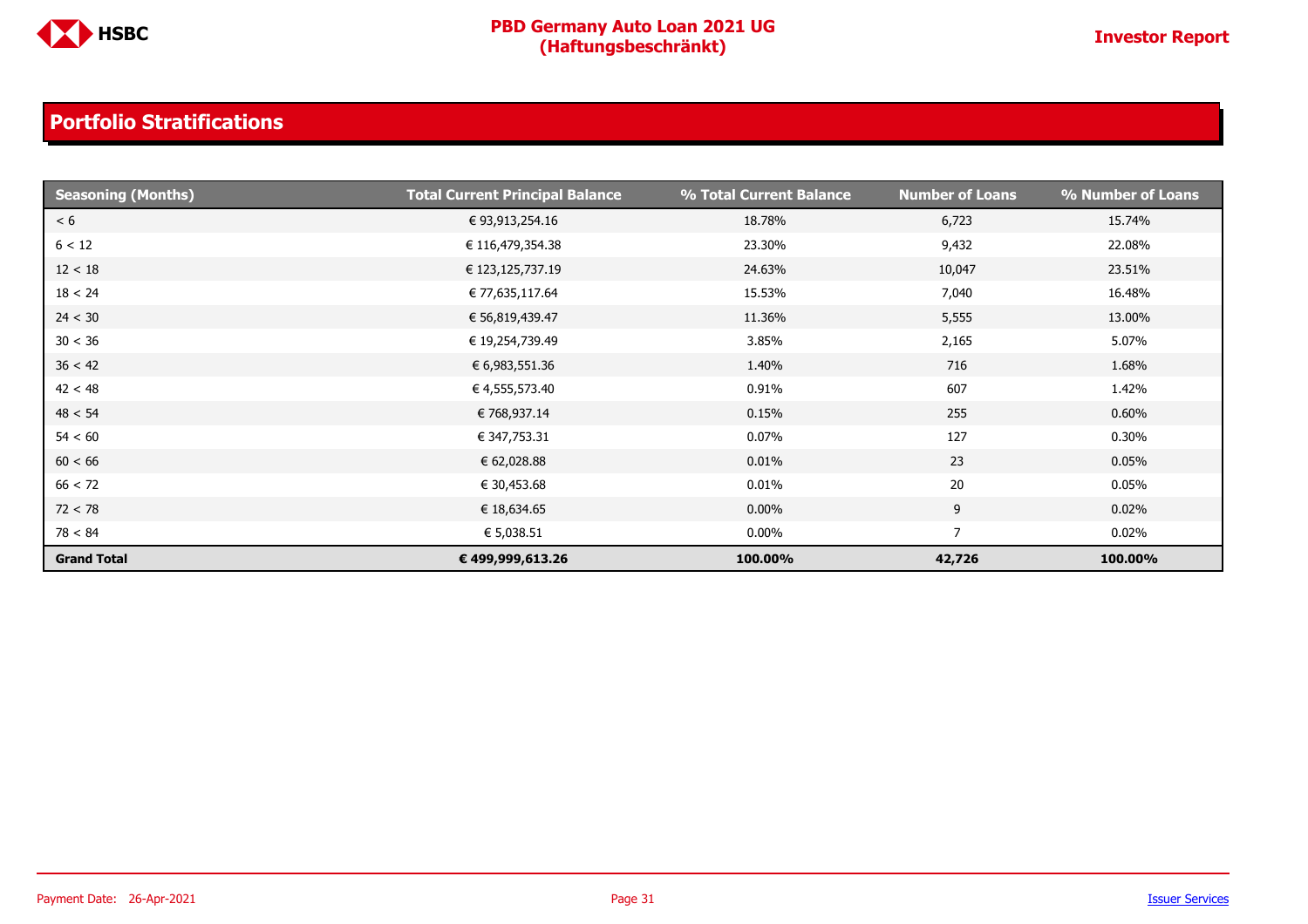

| <b>Seasoning (Months)</b> | <b>Total Current Principal Balance</b> | % Total Current Balance | <b>Number of Loans</b> | % Number of Loans |
|---------------------------|----------------------------------------|-------------------------|------------------------|-------------------|
| < 6                       | € 93,913,254.16                        | 18.78%                  | 6,723                  | 15.74%            |
| 6 < 12                    | € 116,479,354.38                       | 23.30%                  | 9,432                  | 22.08%            |
| 12 < 18                   | € 123,125,737.19                       | 24.63%                  | 10,047                 | 23.51%            |
| 18 < 24                   | € 77,635,117.64                        | 15.53%                  | 7,040                  | 16.48%            |
| 24 < 30                   | € 56,819,439.47                        | 11.36%                  | 5,555                  | 13.00%            |
| 30 < 36                   | € 19,254,739.49                        | 3.85%                   | 2,165                  | 5.07%             |
| 36 < 42                   | € 6,983,551.36                         | 1.40%                   | 716                    | 1.68%             |
| 42 < 48                   | € 4,555,573.40                         | 0.91%                   | 607                    | 1.42%             |
| 48 < 54                   | € 768,937.14                           | 0.15%                   | 255                    | 0.60%             |
| 54 < 60                   | € 347,753.31                           | 0.07%                   | 127                    | 0.30%             |
| 60 < 66                   | € 62,028.88                            | 0.01%                   | 23                     | 0.05%             |
| 66 < 72                   | € 30,453.68                            | 0.01%                   | 20                     | 0.05%             |
| 72 < 78                   | € 18,634.65                            | $0.00\%$                | 9                      | 0.02%             |
| 78 < 84                   | € 5,038.51                             | $0.00\%$                | 7                      | 0.02%             |
| <b>Grand Total</b>        | € 499,999,613.26                       | 100.00%                 | 42,726                 | 100.00%           |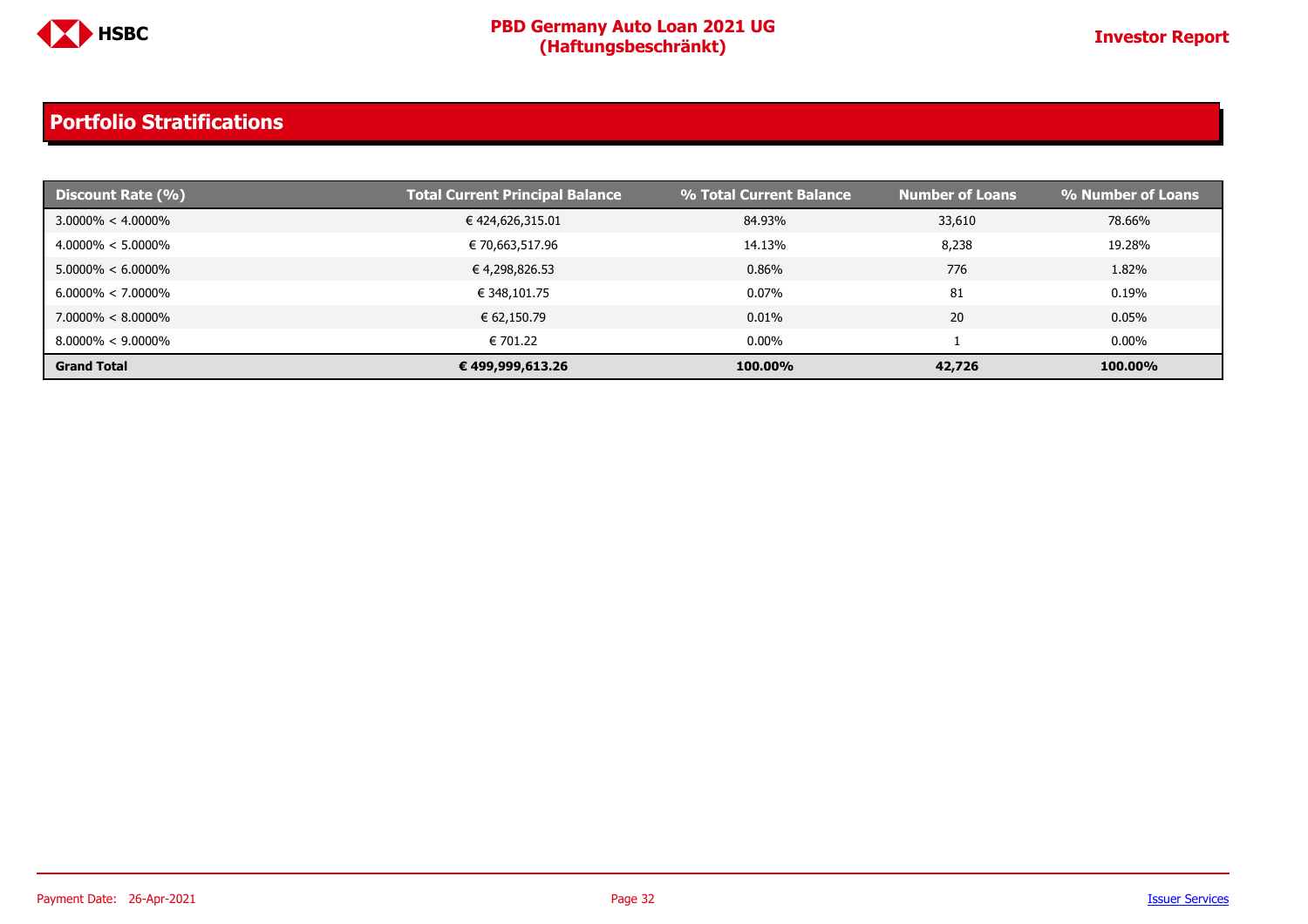

| Discount Rate (%)     | <b>Total Current Principal Balance</b> | % Total Current Balance | <b>Number of Loans</b> | % Number of Loans |
|-----------------------|----------------------------------------|-------------------------|------------------------|-------------------|
| $3.0000\% < 4.0000\%$ | € 424,626,315.01                       | 84.93%                  | 33,610                 | 78.66%            |
| $4.0000\% < 5.0000\%$ | € 70,663,517.96                        | 14.13%                  | 8,238                  | 19.28%            |
| $5.0000\% < 6.0000\%$ | € 4,298,826.53                         | 0.86%                   | 776                    | 1.82%             |
| $6.0000\% < 7.0000\%$ | € 348,101.75                           | 0.07%                   | 81                     | 0.19%             |
| $7.0000\% < 8.0000\%$ | € 62,150.79                            | $0.01\%$                | 20                     | 0.05%             |
| $8.0000\% < 9.0000\%$ | € 701.22                               | $0.00\%$                |                        | $0.00\%$          |
| <b>Grand Total</b>    | € 499,999,613.26                       | 100.00%                 | 42,726                 | 100.00%           |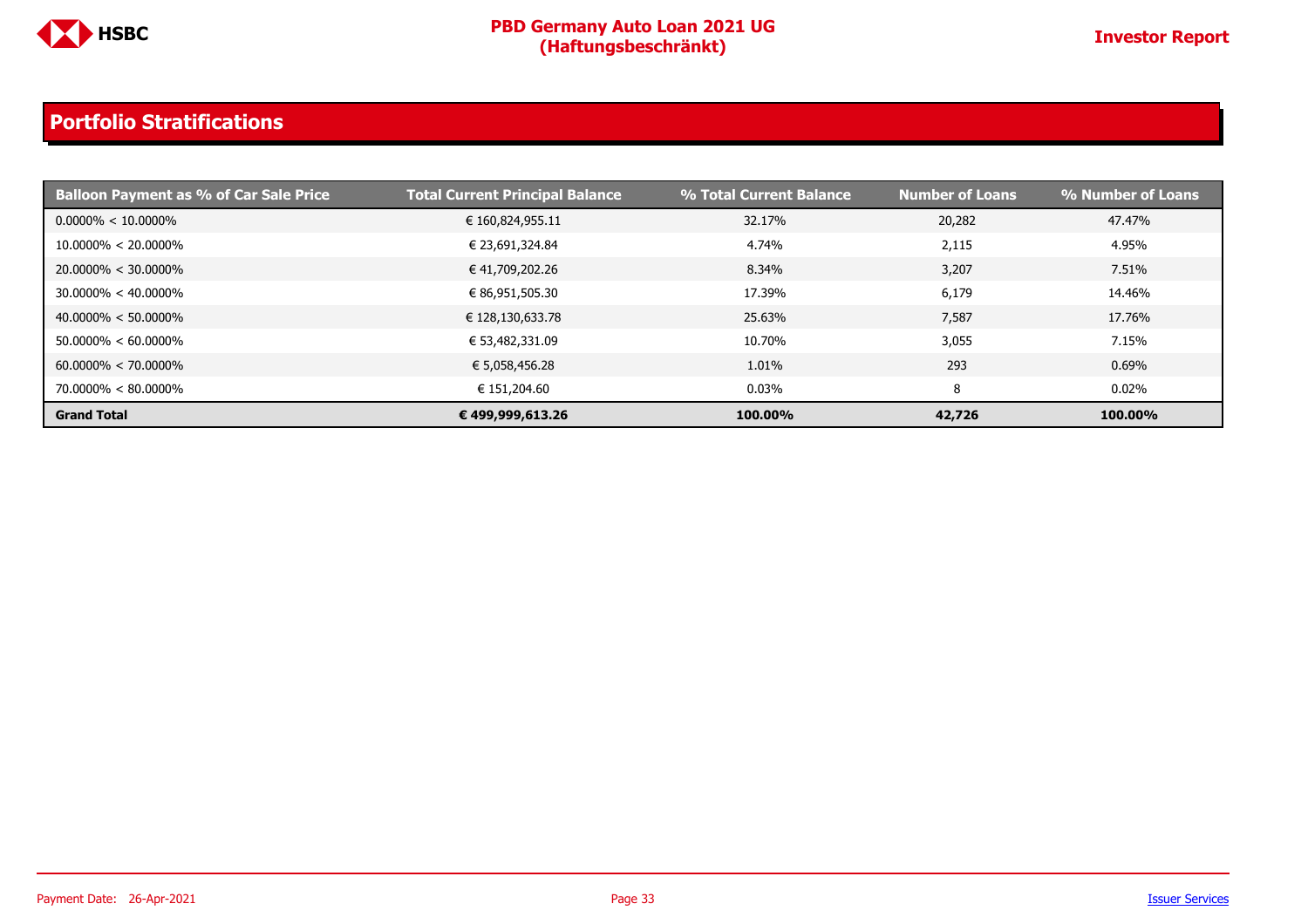

| <b>Balloon Payment as % of Car Sale Price</b> | <b>Total Current Principal Balance</b> | % Total Current Balance | <b>Number of Loans</b> | % Number of Loans |
|-----------------------------------------------|----------------------------------------|-------------------------|------------------------|-------------------|
| $0.0000\% < 10.0000\%$                        | € 160,824,955.11                       | 32.17%                  | 20,282                 | 47.47%            |
| $10.0000\% < 20.0000\%$                       | € 23,691,324.84                        | 4.74%                   | 2,115                  | 4.95%             |
| $20.0000\% < 30.0000\%$                       | € 41,709,202.26                        | 8.34%                   | 3,207                  | 7.51%             |
| $30.0000\% < 40.0000\%$                       | € 86,951,505.30                        | 17.39%                  | 6,179                  | 14.46%            |
| $40.0000\% < 50.0000\%$                       | € 128,130,633.78                       | 25.63%                  | 7,587                  | 17.76%            |
| $50.0000\% < 60.0000\%$                       | € 53,482,331.09                        | 10.70%                  | 3,055                  | 7.15%             |
| $60.0000\% < 70.0000\%$                       | € 5,058,456.28                         | 1.01%                   | 293                    | 0.69%             |
| 70.0000% < 80.0000%                           | € 151,204.60                           | 0.03%                   | 8                      | 0.02%             |
| <b>Grand Total</b>                            | € 499,999,613.26                       | 100.00%                 | 42,726                 | 100.00%           |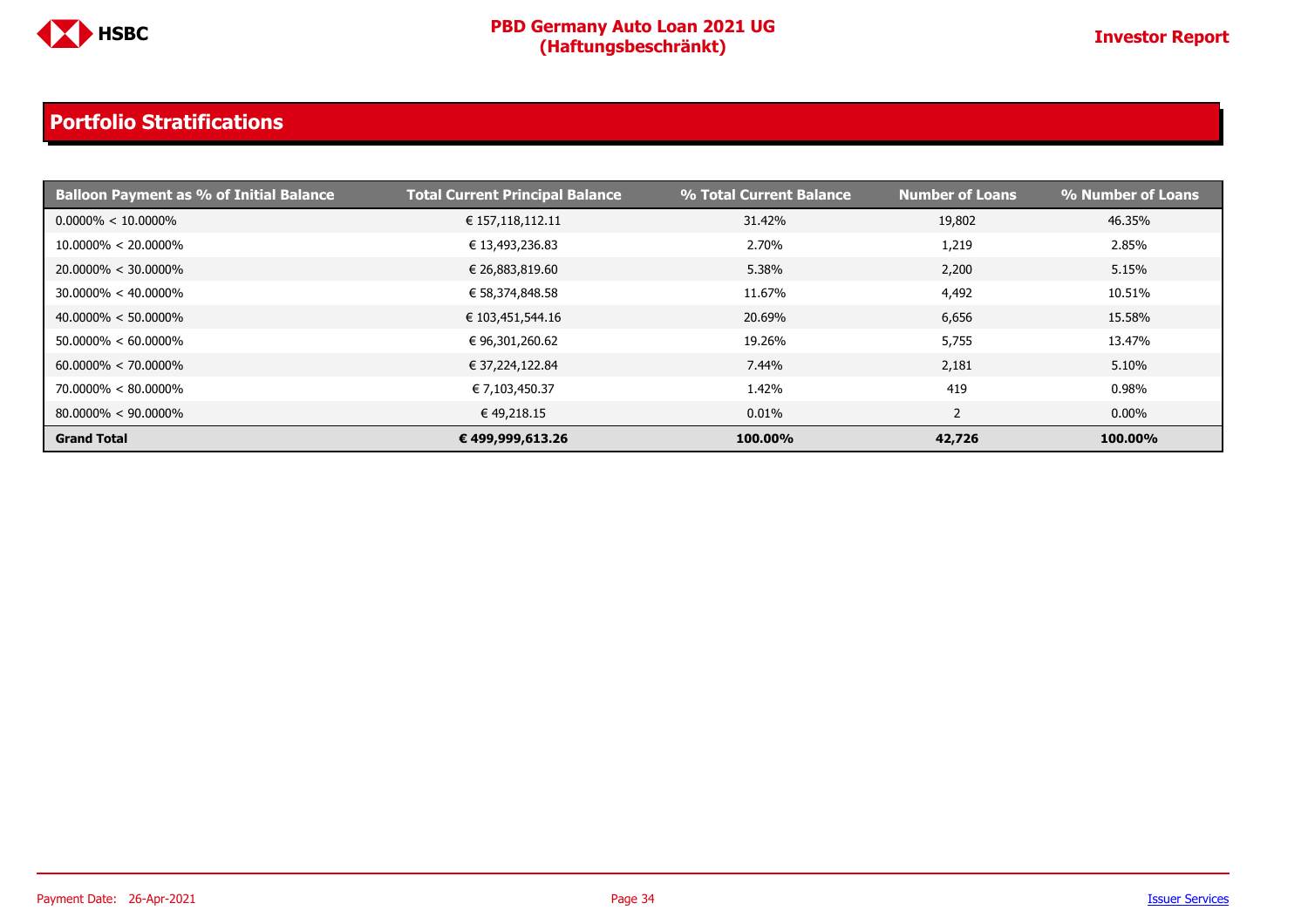

| <b>Balloon Payment as % of Initial Balance</b> | <b>Total Current Principal Balance</b> | % Total Current Balance | <b>Number of Loans</b> | % Number of Loans |
|------------------------------------------------|----------------------------------------|-------------------------|------------------------|-------------------|
| $0.0000\% < 10.0000\%$                         | € 157,118,112.11                       | 31.42%                  | 19,802                 | 46.35%            |
| $10.0000\% < 20.0000\%$                        | € 13,493,236.83                        | 2.70%                   | 1,219                  | 2.85%             |
| $20.0000\% < 30.0000\%$                        | € 26,883,819.60                        | 5.38%                   | 2,200                  | 5.15%             |
| $30.0000\% < 40.0000\%$                        | € 58,374,848.58                        | 11.67%                  | 4,492                  | 10.51%            |
| $40.0000\% < 50.0000\%$                        | € 103,451,544.16                       | 20.69%                  | 6,656                  | 15.58%            |
| $50.0000\% < 60.0000\%$                        | € 96,301,260.62                        | 19.26%                  | 5,755                  | 13.47%            |
| $60.0000\% < 70.0000\%$                        | € 37,224,122.84                        | 7.44%                   | 2,181                  | 5.10%             |
| $70.0000\% < 80.0000\%$                        | € 7,103,450.37                         | 1.42%                   | 419                    | 0.98%             |
| $80.0000\% < 90.0000\%$                        | €49,218.15                             | 0.01%                   | ∠                      | $0.00\%$          |
| <b>Grand Total</b>                             | € 499,999,613.26                       | 100.00%                 | 42,726                 | 100.00%           |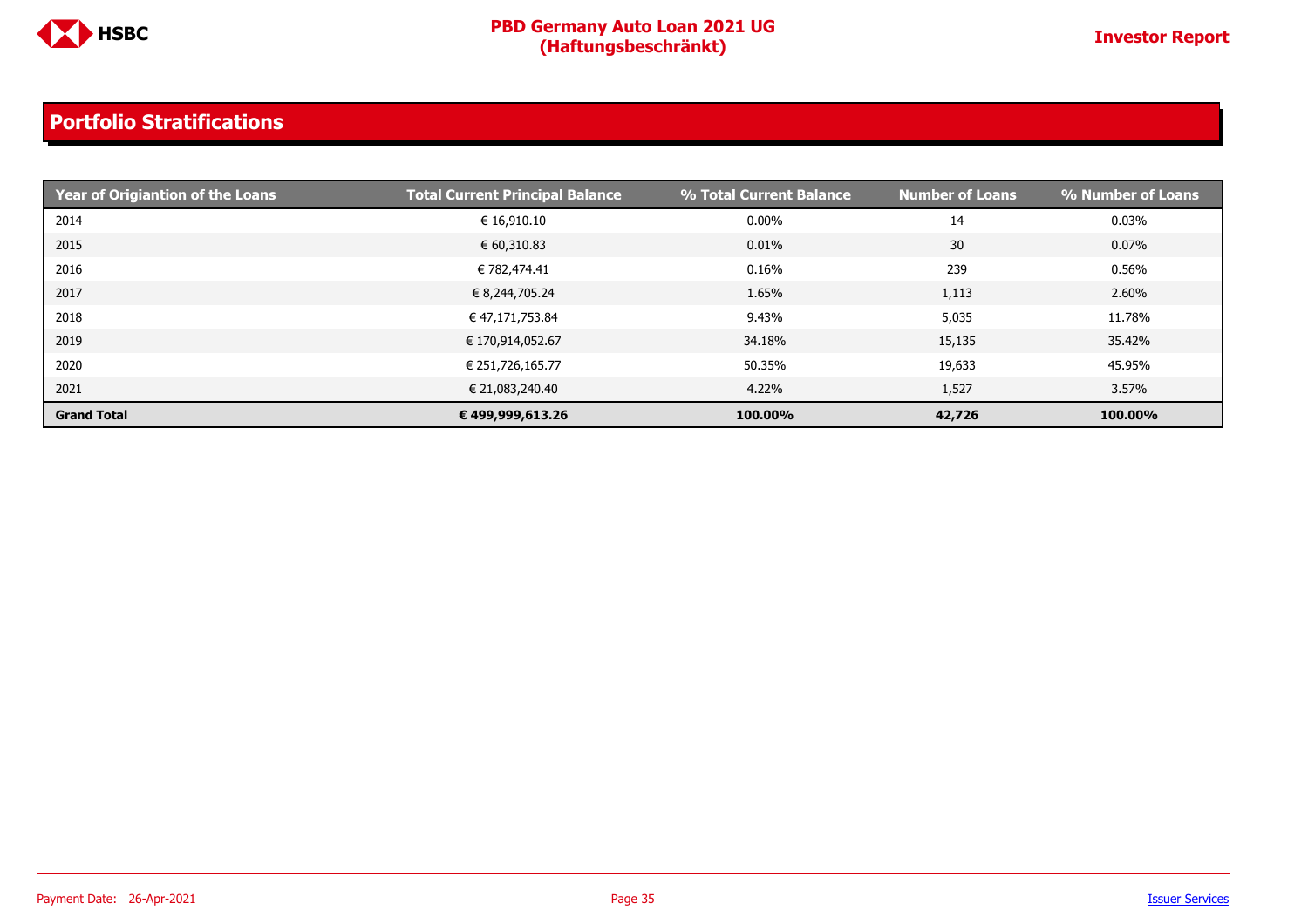

| Year of Origiantion of the Loans | <b>Total Current Principal Balance</b> | % Total Current Balance | <b>Number of Loans</b> | % Number of Loans |
|----------------------------------|----------------------------------------|-------------------------|------------------------|-------------------|
| 2014                             | € 16,910.10                            | $0.00\%$                | 14                     | 0.03%             |
| 2015                             | € 60,310.83                            | 0.01%                   | 30                     | $0.07\%$          |
| 2016                             | € 782,474.41                           | 0.16%                   | 239                    | 0.56%             |
| 2017                             | € 8,244,705.24                         | 1.65%                   | 1,113                  | 2.60%             |
| 2018                             | € 47,171,753.84                        | 9.43%                   | 5,035                  | 11.78%            |
| 2019                             | € 170,914,052.67                       | 34.18%                  | 15,135                 | 35.42%            |
| 2020                             | € 251,726,165.77                       | 50.35%                  | 19,633                 | 45.95%            |
| 2021                             | € 21,083,240.40                        | 4.22%                   | 1,527                  | 3.57%             |
| <b>Grand Total</b>               | € 499,999,613.26                       | 100.00%                 | 42,726                 | 100.00%           |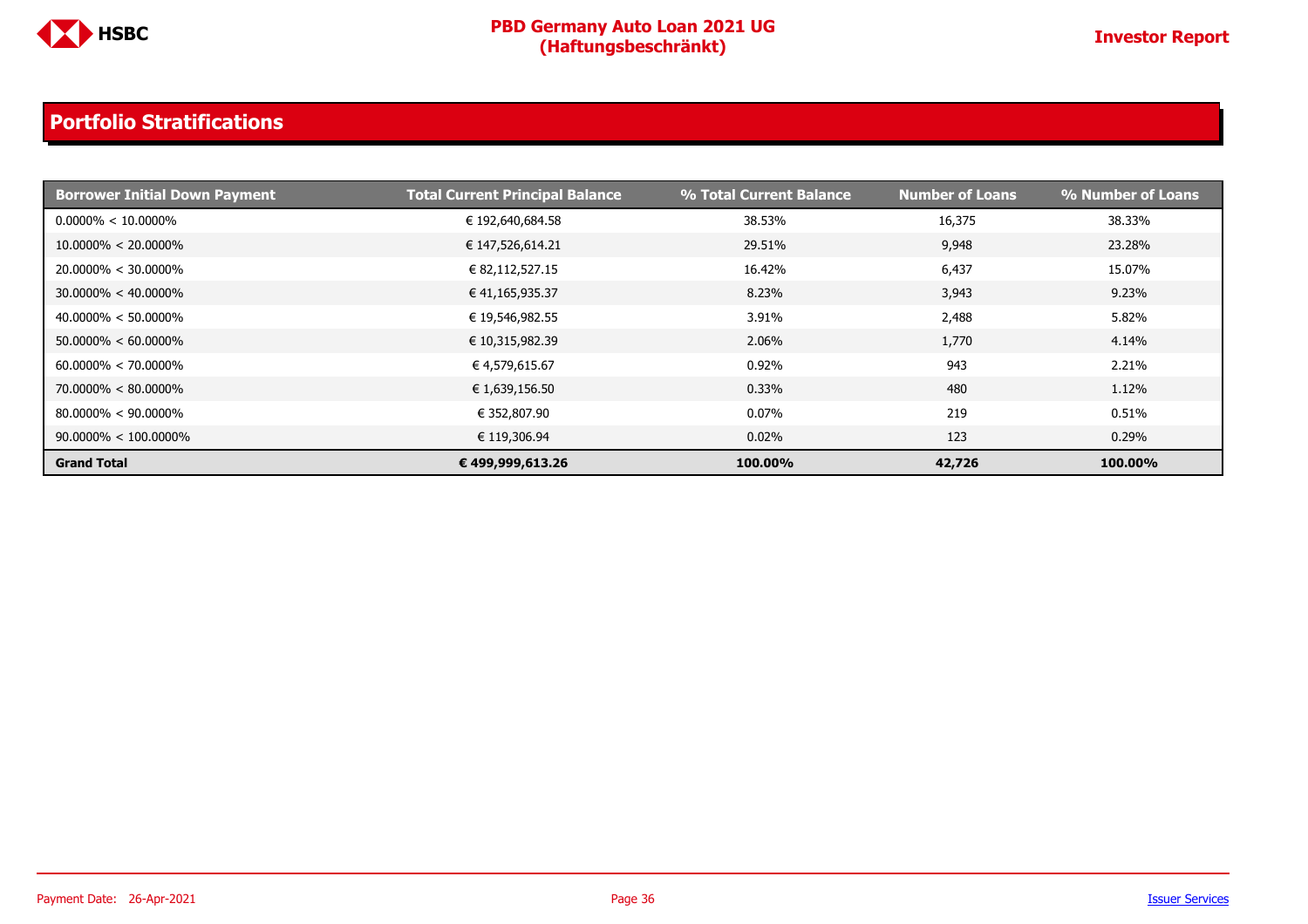

| <b>Borrower Initial Down Payment</b> | <b>Total Current Principal Balance</b> | % Total Current Balance | <b>Number of Loans</b> | % Number of Loans |
|--------------------------------------|----------------------------------------|-------------------------|------------------------|-------------------|
| $0.0000\% < 10.0000\%$               | € 192,640,684.58                       | 38.53%                  | 16,375                 | 38.33%            |
| $10.0000\% < 20.0000\%$              | € 147,526,614.21                       | 29.51%                  | 9,948                  | 23.28%            |
| $20.0000\% < 30.0000\%$              | € 82,112,527.15                        | 16.42%                  | 6,437                  | 15.07%            |
| $30.0000\% < 40.0000\%$              | € 41,165,935.37                        | 8.23%                   | 3,943                  | 9.23%             |
| $40.0000\% < 50.0000\%$              | € 19,546,982.55                        | 3.91%                   | 2,488                  | 5.82%             |
| $50.0000\% < 60.0000\%$              | € 10,315,982.39                        | 2.06%                   | 1,770                  | 4.14%             |
| $60.0000\% < 70.0000\%$              | € 4,579,615.67                         | 0.92%                   | 943                    | 2.21%             |
| $70.0000\% < 80.0000\%$              | € 1,639,156.50                         | 0.33%                   | 480                    | 1.12%             |
| $80.0000\% < 90.0000\%$              | € 352,807.90                           | 0.07%                   | 219                    | 0.51%             |
| $90.0000\% < 100.0000\%$             | € 119,306.94                           | 0.02%                   | 123                    | 0.29%             |
| <b>Grand Total</b>                   | € 499,999,613.26                       | 100.00%                 | 42,726                 | 100.00%           |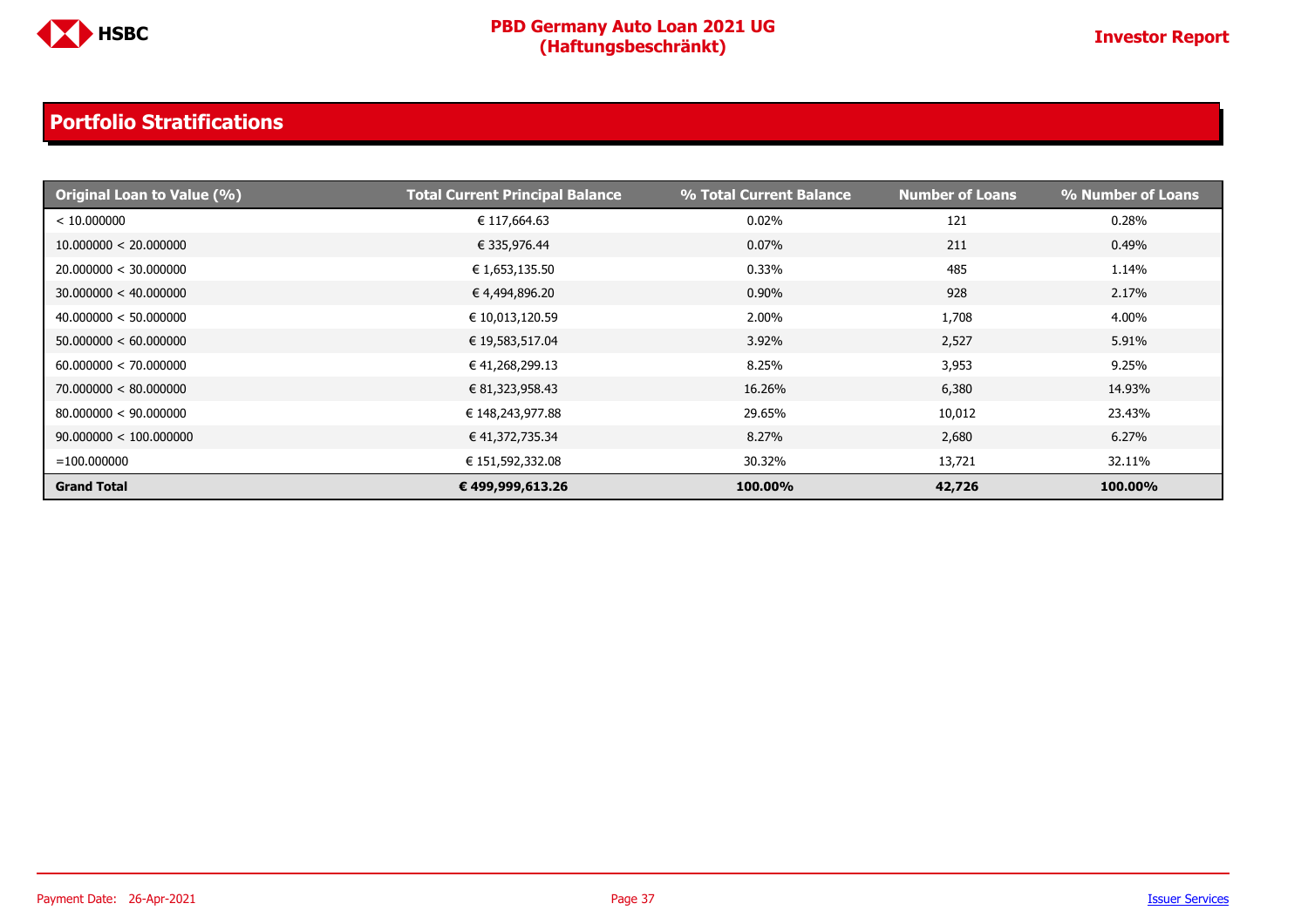

| <b>Original Loan to Value (%)</b> | <b>Total Current Principal Balance</b> | % Total Current Balance | <b>Number of Loans</b> | % Number of Loans |
|-----------------------------------|----------------------------------------|-------------------------|------------------------|-------------------|
| < 10.000000                       | € 117,664.63                           | 0.02%                   | 121                    | 0.28%             |
| 10.000000 < 20.000000             | € 335,976.44                           | 0.07%                   | 211                    | 0.49%             |
| 20.000000 < 30.000000             | € 1,653,135.50                         | 0.33%                   | 485                    | 1.14%             |
| 30.000000 < 40.000000             | € 4,494,896.20                         | 0.90%                   | 928                    | 2.17%             |
| 40.000000 < 50.000000             | € 10,013,120.59                        | 2.00%                   | 1,708                  | 4.00%             |
| 50.000000 < 60.000000             | € 19,583,517.04                        | 3.92%                   | 2,527                  | 5.91%             |
| 60.000000 < 70.000000             | € 41,268,299.13                        | 8.25%                   | 3,953                  | 9.25%             |
| 70.000000 < 80.000000             | € 81,323,958.43                        | 16.26%                  | 6,380                  | 14.93%            |
| 80.000000 < 90.000000             | € 148,243,977.88                       | 29.65%                  | 10,012                 | 23.43%            |
| 90.000000 < 100.000000            | € 41,372,735.34                        | 8.27%                   | 2,680                  | 6.27%             |
| $= 100.000000$                    | € 151,592,332.08                       | 30.32%                  | 13,721                 | 32.11%            |
| <b>Grand Total</b>                | € 499,999,613.26                       | 100.00%                 | 42,726                 | 100.00%           |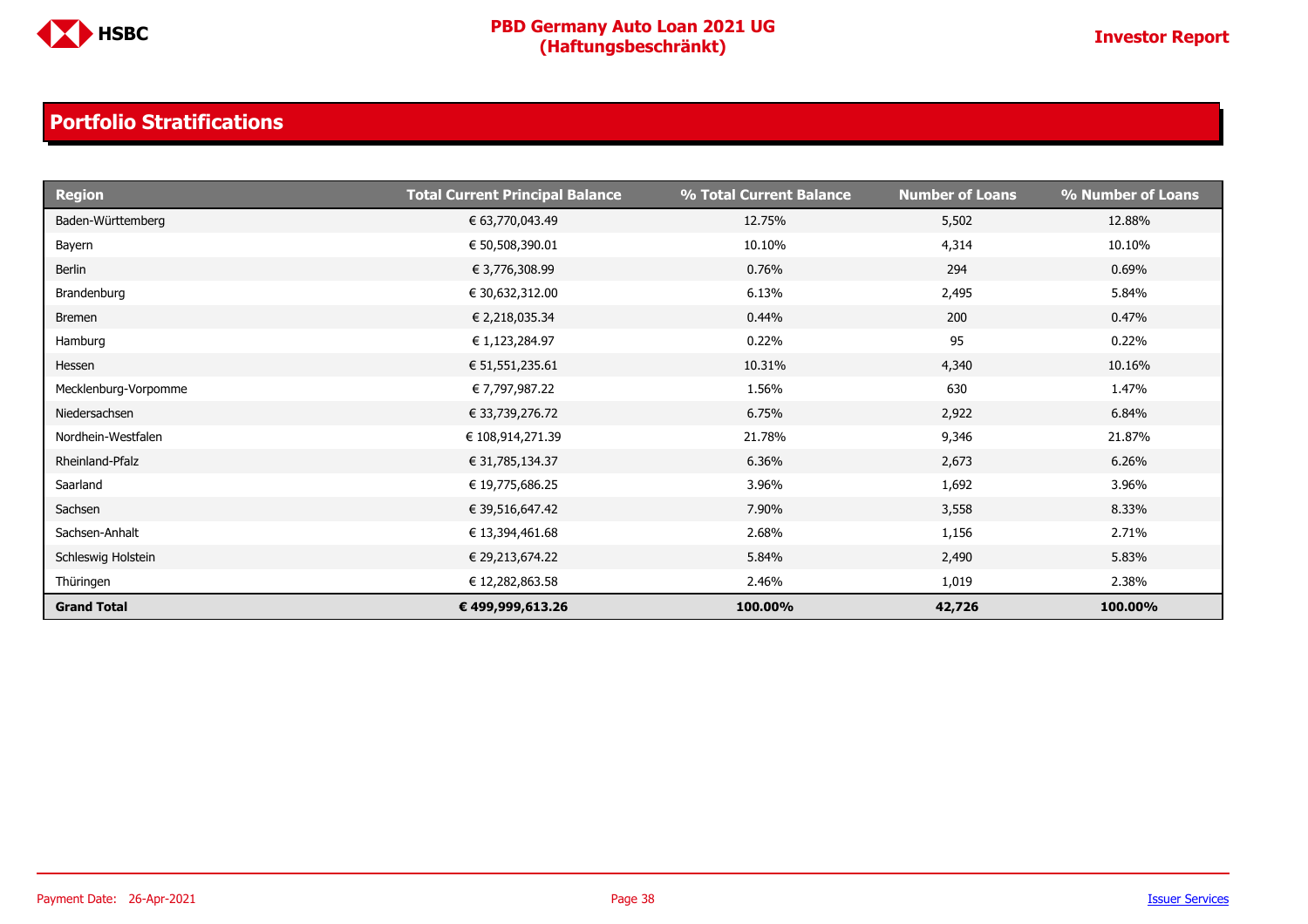

| <b>Region</b>        | <b>Total Current Principal Balance</b> | % Total Current Balance | <b>Number of Loans</b> | % Number of Loans |
|----------------------|----------------------------------------|-------------------------|------------------------|-------------------|
| Baden-Württemberg    | € 63,770,043.49                        | 12.75%                  | 5,502                  | 12.88%            |
| Bayern               | € 50,508,390.01                        | 10.10%                  | 4,314                  | 10.10%            |
| Berlin               | € 3,776,308.99                         | 0.76%                   | 294                    | 0.69%             |
| Brandenburg          | € 30,632,312.00                        | 6.13%                   | 2,495                  | 5.84%             |
| <b>Bremen</b>        | € 2,218,035.34                         | 0.44%                   | 200                    | 0.47%             |
| Hamburg              | € 1,123,284.97                         | 0.22%                   | 95                     | 0.22%             |
| Hessen               | € 51,551,235.61                        | 10.31%                  | 4,340                  | 10.16%            |
| Mecklenburg-Vorpomme | € 7,797,987.22                         | 1.56%                   | 630                    | 1.47%             |
| Niedersachsen        | € 33,739,276.72                        | 6.75%                   | 2,922                  | 6.84%             |
| Nordhein-Westfalen   | € 108,914,271.39                       | 21.78%                  | 9,346                  | 21.87%            |
| Rheinland-Pfalz      | € 31,785,134.37                        | 6.36%                   | 2,673                  | 6.26%             |
| Saarland             | € 19,775,686.25                        | 3.96%                   | 1,692                  | 3.96%             |
| Sachsen              | € 39,516,647.42                        | 7.90%                   | 3,558                  | 8.33%             |
| Sachsen-Anhalt       | € 13,394,461.68                        | 2.68%                   | 1,156                  | 2.71%             |
| Schleswig Holstein   | € 29,213,674.22                        | 5.84%                   | 2,490                  | 5.83%             |
| Thüringen            | € 12,282,863.58                        | 2.46%                   | 1,019                  | 2.38%             |
| <b>Grand Total</b>   | € 499,999,613.26                       | 100.00%                 | 42,726                 | 100.00%           |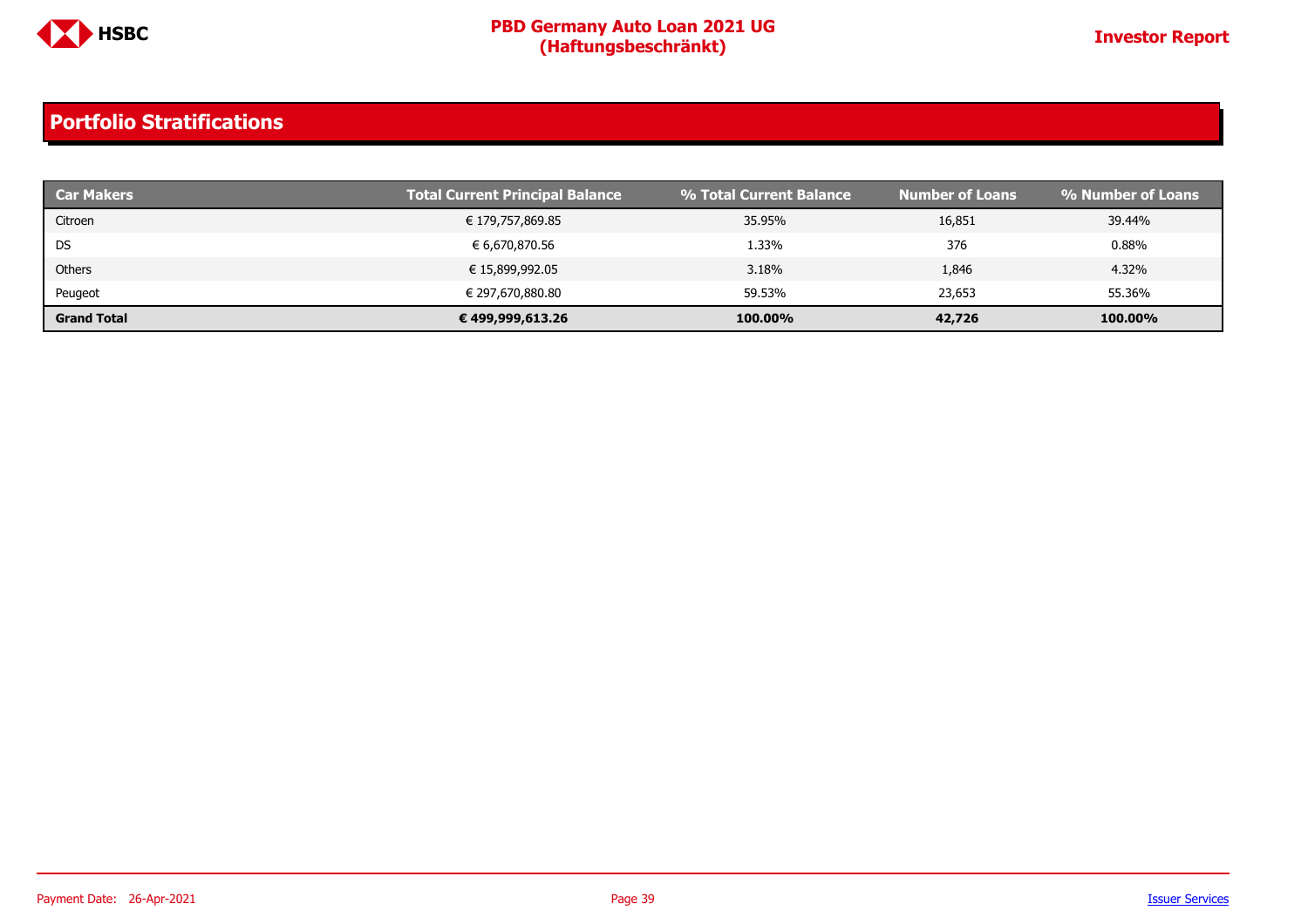

| <b>Car Makers</b>  | <b>Total Current Principal Balance</b> | % Total Current Balance | <b>Number of Loans</b> | % Number of Loans |
|--------------------|----------------------------------------|-------------------------|------------------------|-------------------|
| Citroen            | € 179,757,869.85                       | 35.95%                  | 16,851                 | 39.44%            |
| <b>DS</b>          | € 6,670,870.56                         | 1.33%                   | 376                    | 0.88%             |
| Others             | € 15,899,992.05                        | 3.18%                   | 1,846                  | 4.32%             |
| Peugeot            | € 297,670,880.80                       | 59.53%                  | 23,653                 | 55.36%            |
| <b>Grand Total</b> | € 499,999,613.26                       | 100.00%                 | 42,726                 | 100.00%           |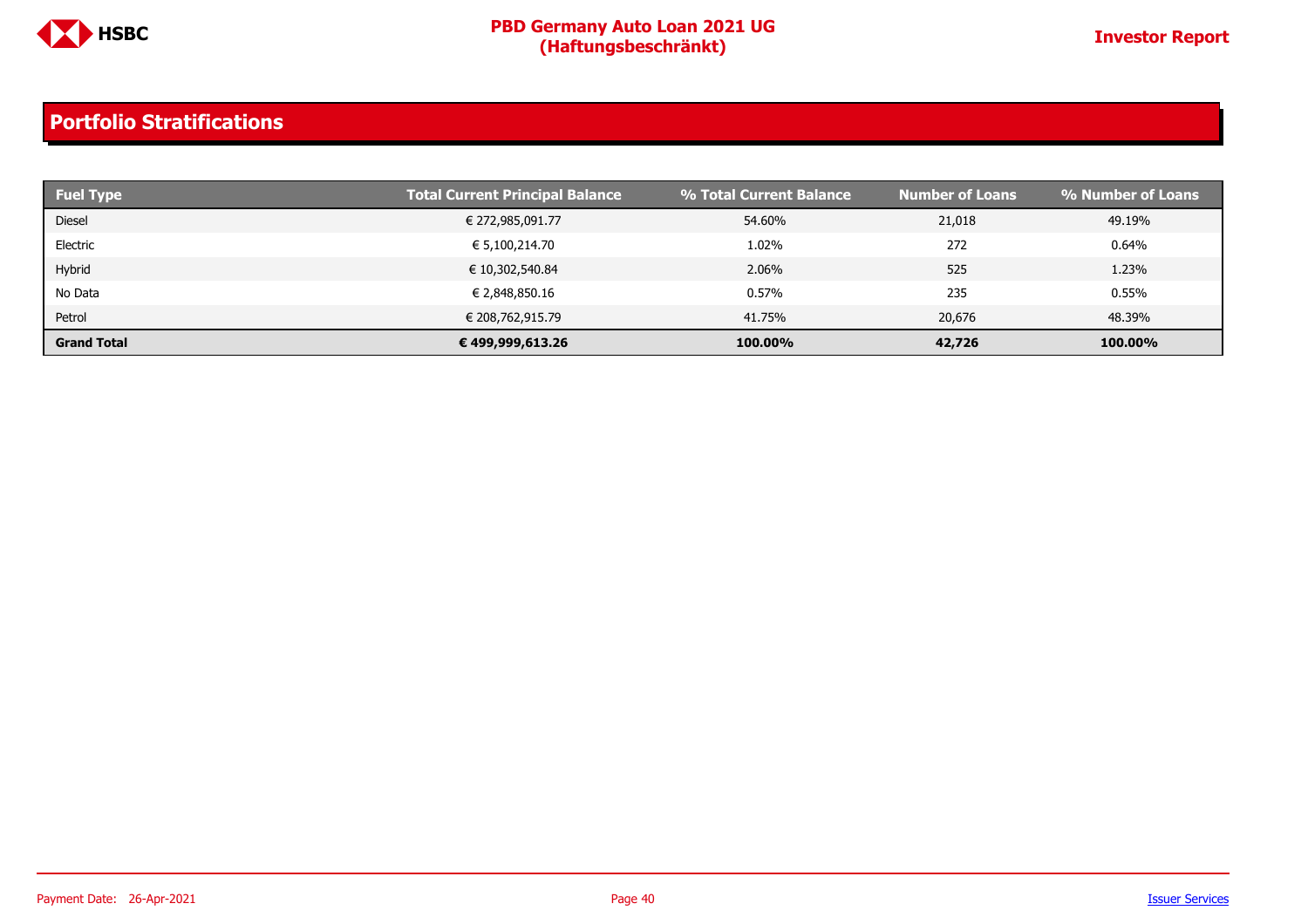

| <b>Fuel Type</b>   | <b>Total Current Principal Balance</b> | % Total Current Balance | <b>Number of Loans</b> | % Number of Loans |
|--------------------|----------------------------------------|-------------------------|------------------------|-------------------|
| <b>Diesel</b>      | € 272,985,091.77                       | 54.60%                  | 21,018                 | 49.19%            |
| Electric           | € 5,100,214.70                         | 1.02%                   | 272                    | 0.64%             |
| Hybrid             | € 10,302,540.84                        | 2.06%                   | 525                    | 1.23%             |
| No Data            | € 2,848,850.16                         | 0.57%                   | 235                    | 0.55%             |
| Petrol             | € 208,762,915.79                       | 41.75%                  | 20,676                 | 48.39%            |
| <b>Grand Total</b> | € 499,999,613.26                       | 100.00%                 | 42,726                 | 100.00%           |